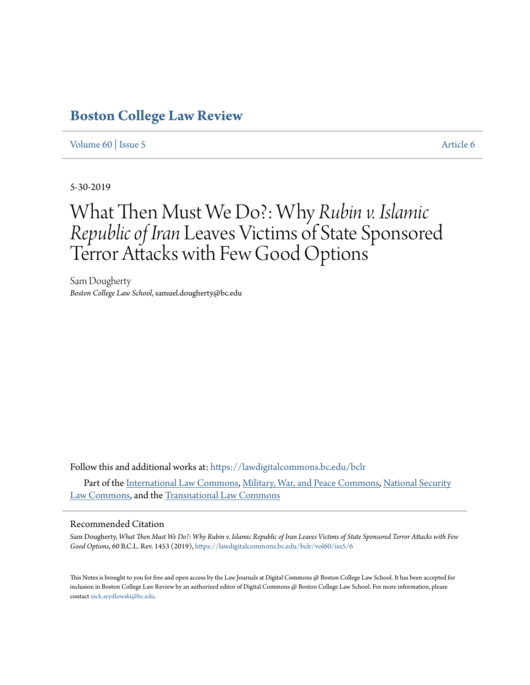# **[Boston College Law Review](https://lawdigitalcommons.bc.edu/bclr?utm_source=lawdigitalcommons.bc.edu%2Fbclr%2Fvol60%2Fiss5%2F6&utm_medium=PDF&utm_campaign=PDFCoverPages)**

### [Volume 60](https://lawdigitalcommons.bc.edu/bclr/vol60?utm_source=lawdigitalcommons.bc.edu%2Fbclr%2Fvol60%2Fiss5%2F6&utm_medium=PDF&utm_campaign=PDFCoverPages) | [Issue 5](https://lawdigitalcommons.bc.edu/bclr/vol60/iss5?utm_source=lawdigitalcommons.bc.edu%2Fbclr%2Fvol60%2Fiss5%2F6&utm_medium=PDF&utm_campaign=PDFCoverPages) [Article 6](https://lawdigitalcommons.bc.edu/bclr/vol60/iss5/6?utm_source=lawdigitalcommons.bc.edu%2Fbclr%2Fvol60%2Fiss5%2F6&utm_medium=PDF&utm_campaign=PDFCoverPages)

5-30-2019

# What Then Must We Do?: Why *Rubin v. Islamic Republic of Iran* Leaves Victims of State Sponsored Terror Attacks with Few Good Options

Sam Dougherty *Boston College Law School*, samuel.dougherty@bc.edu

Follow this and additional works at: [https://lawdigitalcommons.bc.edu/bclr](https://lawdigitalcommons.bc.edu/bclr?utm_source=lawdigitalcommons.bc.edu%2Fbclr%2Fvol60%2Fiss5%2F6&utm_medium=PDF&utm_campaign=PDFCoverPages) Part of the [International Law Commons,](http://network.bepress.com/hgg/discipline/609?utm_source=lawdigitalcommons.bc.edu%2Fbclr%2Fvol60%2Fiss5%2F6&utm_medium=PDF&utm_campaign=PDFCoverPages) [Military, War, and Peace Commons](http://network.bepress.com/hgg/discipline/861?utm_source=lawdigitalcommons.bc.edu%2Fbclr%2Fvol60%2Fiss5%2F6&utm_medium=PDF&utm_campaign=PDFCoverPages), [National Security](http://network.bepress.com/hgg/discipline/1114?utm_source=lawdigitalcommons.bc.edu%2Fbclr%2Fvol60%2Fiss5%2F6&utm_medium=PDF&utm_campaign=PDFCoverPages) [Law Commons](http://network.bepress.com/hgg/discipline/1114?utm_source=lawdigitalcommons.bc.edu%2Fbclr%2Fvol60%2Fiss5%2F6&utm_medium=PDF&utm_campaign=PDFCoverPages), and the [Transnational Law Commons](http://network.bepress.com/hgg/discipline/1123?utm_source=lawdigitalcommons.bc.edu%2Fbclr%2Fvol60%2Fiss5%2F6&utm_medium=PDF&utm_campaign=PDFCoverPages)

#### Recommended Citation

Sam Dougherty, *What Then Must We Do?: Why Rubin v. Islamic Republic of Iran Leaves Victims of State Sponsored Terror Attacks with Few Good Options*, 60 B.C.L. Rev. 1453 (2019), [https://lawdigitalcommons.bc.edu/bclr/vol60/iss5/6](https://lawdigitalcommons.bc.edu/bclr/vol60/iss5/6?utm_source=lawdigitalcommons.bc.edu%2Fbclr%2Fvol60%2Fiss5%2F6&utm_medium=PDF&utm_campaign=PDFCoverPages)

This Notes is brought to you for free and open access by the Law Journals at Digital Commons @ Boston College Law School. It has been accepted for inclusion in Boston College Law Review by an authorized editor of Digital Commons @ Boston College Law School. For more information, please contact [nick.szydlowski@bc.edu](mailto:nick.szydlowski@bc.edu).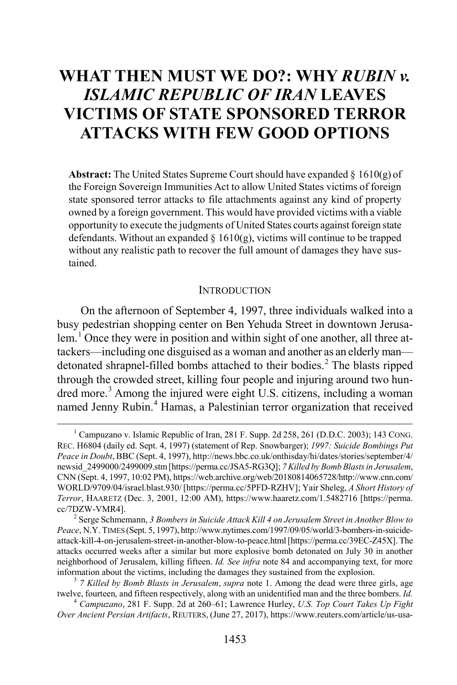## **WHAT THEN MUST WE DO?: WHY** *RUBIN v. ISLAMIC REPUBLIC OF IRAN* **LEAVES VICTIMS OF STATE SPONSORED TERROR ATTACKS WITH FEW GOOD OPTIONS**

**Abstract:** The United States Supreme Court should have expanded § 1610(g) of the Foreign Sovereign Immunities Act to allow United States victims of foreign state sponsored terror attacks to file attachments against any kind of property owned by a foreign government. This would have provided victims with a viable opportunity to execute the judgments of United States courts against foreign state defendants. Without an expanded  $\S$  1610(g), victims will continue to be trapped without any realistic path to recover the full amount of damages they have sustained.

#### <span id="page-1-5"></span>**INTRODUCTION**

<span id="page-1-0"></span>On the afternoon of September 4, 1997, three individuals walked into a busy pedestrian shopping center on Ben Yehuda Street in downtown Jerusa-lem.<sup>[1](#page-1-1)</sup> Once they were in position and within sight of one another, all three attackers—including one disguised as a woman and another as an elderly man— detonated shrapnel-filled bombs attached to their bodies.<sup>[2](#page-1-2)</sup> The blasts ripped through the crowded street, killing four people and injuring around two hun-dred more.<sup>[3](#page-1-3)</sup> Among the injured were eight U.S. citizens, including a woman named Jenny Rubin.<sup>[4](#page-1-4)</sup> Hamas, a Palestinian terror organization that received

<span id="page-1-1"></span><sup>&</sup>lt;sup>1</sup> Campuzano v. Islamic Republic of Iran, 281 F. Supp. 2d 258, 261 (D.D.C. 2003); 143 CONG. REC. H6804 (daily ed. Sept. 4, 1997) (statement of Rep. Snowbarger); *1997: Suicide Bombings Put Peace in Doubt*, BBC (Sept. 4, 1997), http://news.bbc.co.uk/onthisday/hi/dates/stories/september/4/ newsid\_2499000/2499009.stm [https://perma.cc/JSA5-RG3Q]; *7 Killed by Bomb Blasts in Jerusalem*, CNN (Sept. 4, 1997, 10:02 PM), https://web.archive.org/web/20180814065728/http://www.cnn.com/ WORLD/9709/04/israel.blast.930/ [https://perma.cc/5PFD-RZHV]; Yair Sheleg, *A Short History of Terror*, HAARETZ (Dec. 3, 2001, 12:00 AM), https://www.haaretz.com/1.5482716 [https://perma. cc/7DZW-VMR4]. <sup>2</sup> Serge Schmemann, *3 Bombers in Suicide Attack Kill 4 on Jerusalem Street in Another Blow to*

<span id="page-1-2"></span>*Peace*, N.Y. TIMES (Sept. 5, 1997), http://www.nytimes.com/1997/09/05/world/3-bombers-in-suicideattack-kill-4-on-jerusalem-street-in-another-blow-to-peace.html [https://perma.cc/39EC-Z45X]. The attacks occurred weeks after a similar but more explosive bomb detonated on July 30 in another neighborhood of Jerusalem, killing fifteen. *Id. See infra* note [84](#page-15-0) and accompanying text, for more information about the victims, including the damages they sustained from the explosion. <sup>3</sup> *7 Killed by Bomb Blasts in Jerusalem*, *supra* not[e 1.](#page-1-0) Among the dead were three girls, age

<span id="page-1-3"></span>twelve, fourteen, and fifteen respectively, along with an unidentified man and the three bombers. *Id.* <sup>4</sup> *Campuzano*, 281 F. Supp. 2d at 260–61; Lawrence Hurley, *U.S. Top Court Takes Up Fight*

<span id="page-1-4"></span>*Over Ancient Persian Artifacts*, REUTERS, (June 27, 2017), https://www.reuters.com/article/us-usa-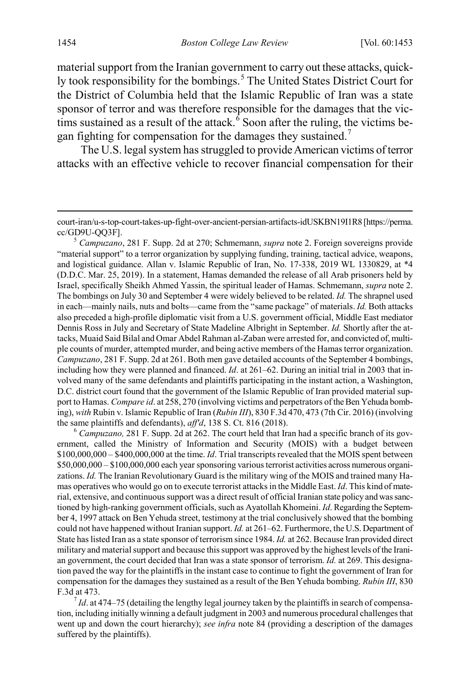material support from the Iranian government to carry out these attacks, quick-ly took responsibility for the bombings.<sup>[5](#page-2-0)</sup> The United States District Court for the District of Columbia held that the Islamic Republic of Iran was a state sponsor of terror and was therefore responsible for the damages that the victims sustained as a result of the attack. $\overline{6}$  $\overline{6}$  $\overline{6}$  Soon after the ruling, the victims be-gan fighting for compensation for the damages they sustained.<sup>[7](#page-2-2)</sup>

The U.S. legal system has struggled to provide American victims of terror attacks with an effective vehicle to recover financial compensation for their

<span id="page-2-0"></span>"material support" to a terror organization by supplying funding, training, tactical advice, weapons, and logistical guidance. Allan v. Islamic Republic of Iran, No. 17-338, 2019 WL 1330829, at \*4 (D.D.C. Mar. 25, 2019). In a statement, Hamas demanded the release of all Arab prisoners held by Israel, specifically Sheikh Ahmed Yassin, the spiritual leader of Hamas. Schmemann, *supra* note [2.](#page-1-5) The bombings on July 30 and September 4 were widely believed to be related. *Id.* The shrapnel used in each—mainly nails, nuts and bolts—came from the "same package" of materials. *Id.* Both attacks also preceded a high-profile diplomatic visit from a U.S. government official, Middle East mediator Dennis Ross in July and Secretary of State Madeline Albright in September. *Id.* Shortly after the attacks, Muaid Said Bilal and Omar Abdel Rahman al-Zaban were arrested for, and convicted of, multiple counts of murder, attempted murder, and being active members of the Hamas terror organization. *Campuzano*, 281 F. Supp. 2d at 261. Both men gave detailed accounts of the September 4 bombings, including how they were planned and financed. *Id*. at 261–62. During an initial trial in 2003 that involved many of the same defendants and plaintiffs participating in the instant action, a Washington, D.C. district court found that the government of the Islamic Republic of Iran provided material support to Hamas. *Compare id*. at 258, 270 (involving victims and perpetrators of the Ben Yehuda bombing), *with* Rubin v. Islamic Republic of Iran (*Rubin III*), 830 F.3d 470, 473 (7th Cir. 2016) (involving the same plaintiffs and defendants), *aff'd*, 138 S. Ct. 816 (2018).<br><sup>6</sup> *Campuzano*, 281 F. Supp. 2d at 262. The court held that Iran had a specific branch of its gov-

<span id="page-2-1"></span>ernment, called the Ministry of Information and Security (MOIS) with a budget between \$100,000,000 – \$400,000,000 at the time. *Id*. Trial transcripts revealed that the MOIS spent between \$50,000,000 – \$100,000,000 each year sponsoring various terrorist activities across numerous organizations. *Id.* The Iranian Revolutionary Guard is the military wing of the MOIS and trained many Hamas operatives who would go on to execute terrorist attacks in the Middle East. *Id*. This kind of material, extensive, and continuous support was a direct result of official Iranian state policy and was sanctioned by high-ranking government officials, such as Ayatollah Khomeini. *Id*. Regarding the September 4, 1997 attack on Ben Yehuda street, testimony at the trial conclusively showed that the bombing could not have happened without Iranian support. *Id.* at 261–62. Furthermore, the U.S. Department of State has listed Iran as a state sponsor of terrorism since 1984. *Id.* at 262. Because Iran provided direct military and material support and because this support was approved by the highest levels of the Iranian government, the court decided that Iran was a state sponsor of terrorism. *Id.* at 269. This designation paved the way for the plaintiffs in the instant case to continue to fight the government of Iran for compensation for the damages they sustained as a result of the Ben Yehuda bombing. *Rubin III*, 830 F.3d at 473.<br><sup>7</sup>*Id.* at 474–75 (detailing the lengthy legal journey taken by the plaintiffs in search of compensa-

<span id="page-2-2"></span>tion, including initially winning a default judgment in 2003 and numerous procedural challenges that went up and down the court hierarchy); *see infra* note [84](#page-15-0) (providing a description of the damages suffered by the plaintiffs).

court-iran/u-s-top-court-takes-up-fight-over-ancient-persian-artifacts-idUSKBN19I1R8 [https://perma. cc/GD9U-QQ3F]. <sup>5</sup> *Campuzano*, 281 F. Supp. 2d at 270; Schmemann, *supra* note [2.](#page-1-5) Foreign sovereigns provide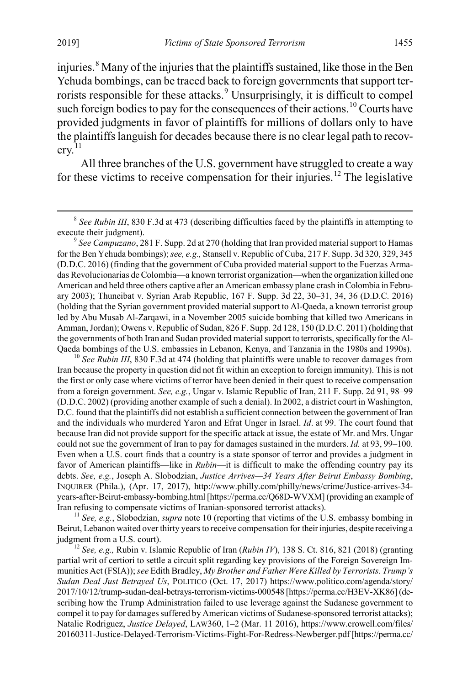<span id="page-3-0"></span>injuries.<sup>[8](#page-3-1)</sup> Many of the injuries that the plaintiffs sustained, like those in the Ben Yehuda bombings, can be traced back to foreign governments that support ter-rorists responsible for these attacks.<sup>[9](#page-3-2)</sup> Unsurprisingly, it is difficult to compel such foreign bodies to pay for the consequences of their actions.<sup>[10](#page-3-3)</sup> Courts have provided judgments in favor of plaintiffs for millions of dollars only to have the plaintiffs languish for decades because there is no clear legal path to recov- $erv<sup>11</sup>$  $erv<sup>11</sup>$  $erv<sup>11</sup>$ 

<span id="page-3-6"></span>All three branches of the U.S. government have struggled to create a way for these victims to receive compensation for their injuries.<sup>[12](#page-3-5)</sup> The legislative

<span id="page-3-3"></span>Iran because the property in question did not fit within an exception to foreign immunity). This is not the first or only case where victims of terror have been denied in their quest to receive compensation from a foreign government. *See, e.g.*, Ungar v. Islamic Republic of Iran, 211 F. Supp. 2d 91, 98–99 (D.D.C. 2002) (providing another example of such a denial). In 2002, a district court in Washington, D.C. found that the plaintiffs did not establish a sufficient connection between the government of Iran and the individuals who murdered Yaron and Efrat Unger in Israel. *Id*. at 99. The court found that because Iran did not provide support for the specific attack at issue, the estate of Mr. and Mrs. Ungar could not sue the government of Iran to pay for damages sustained in the murders. *Id.* at 93, 99–100. Even when a U.S. court finds that a country is a state sponsor of terror and provides a judgment in favor of American plaintiffs—like in *Rubin*—it is difficult to make the offending country pay its debts. *See, e.g.*, Joseph A. Slobodzian, *Justice Arrives—34 Years After Beirut Embassy Bombing*, INQUIRER (Phila.), (Apr. 17, 2017), http://www.philly.com/philly/news/crime/Justice-arrives-34 years-after-Beirut-embassy-bombing.html [https://perma.cc/Q68D-WVXM] (providing an example of Iran refusing to compensate victims of Iranian-sponsored terrorist attacks). <sup>11</sup> *See, e.g.*, Slobodzian, *supra* not[e 10](#page-3-0) (reporting that victims of the U.S. embassy bombing in

<span id="page-3-4"></span>Beirut, Lebanon waited over thirty years to receive compensation for their injuries, despite receiving a judgment from a U.S. court). <sup>12</sup> *See, e.g.,* Rubin v. Islamic Republic of Iran (*Rubin IV*), 138 S. Ct. 816, 821 (2018) (granting

<span id="page-3-5"></span>partial writ of certiori to settle a circuit split regarding key provisions of the Foreign Sovereign Immunities Act (FSIA)); *see* Edith Bradley, *My Brother and Father Were Killed by Terrorists. Trump's Sudan Deal Just Betrayed Us*, POLITICO (Oct. 17, 2017) https://www.politico.com/agenda/story/ 2017/10/12/trump-sudan-deal-betrays-terrorism-victims-000548 [https://perma.cc/H3EV-XK86] (describing how the Trump Administration failed to use leverage against the Sudanese government to compel it to pay for damages suffered by American victims of Sudanese-sponsored terrorist attacks); Natalie Rodriguez, *Justice Delayed*, LAW360, 1–2 (Mar. 11 2016), https://www.crowell.com/files/ 20160311-Justice-Delayed-Terrorism-Victims-Fight-For-Redress-Newberger.pdf[https://perma.cc/

<span id="page-3-1"></span><sup>&</sup>lt;sup>8</sup> See Rubin III, 830 F.3d at 473 (describing difficulties faced by the plaintiffs in attempting to execute their judgment). <sup>9</sup> *See Campuzano*, 281 F. Supp. 2d at 270 (holding that Iran provided material support to Hamas

<span id="page-3-2"></span>for the Ben Yehuda bombings); *see, e.g.,* Stansell v. Republic of Cuba, 217 F. Supp. 3d 320, 329, 345 (D.D.C. 2016) (finding that the government of Cuba provided material support to the Fuerzas Armadas Revolucionarias de Colombia—a known terrorist organization—when the organization killed one American and held three others captive after an American embassy plane crash in Colombia in February 2003); Thuneibat v. Syrian Arab Republic, 167 F. Supp. 3d 22, 30–31, 34, 36 (D.D.C. 2016) (holding that the Syrian government provided material support to Al-Qaeda, a known terrorist group led by Abu Musab Al-Zarqawi, in a November 2005 suicide bombing that killed two Americans in Amman, Jordan); Owens v. Republic of Sudan, 826 F. Supp. 2d 128, 150 (D.D.C. 2011) (holding that the governments of both Iran and Sudan provided material support to terrorists, specifically for the Al-Qaeda bombings of the U.S. embassies in Lebanon, Kenya, and Tanzania in the 1980s and 1990s). <sup>10</sup> *See Rubin III*, 830 F.3d at 474 (holding that plaintiffs were unable to recover damages from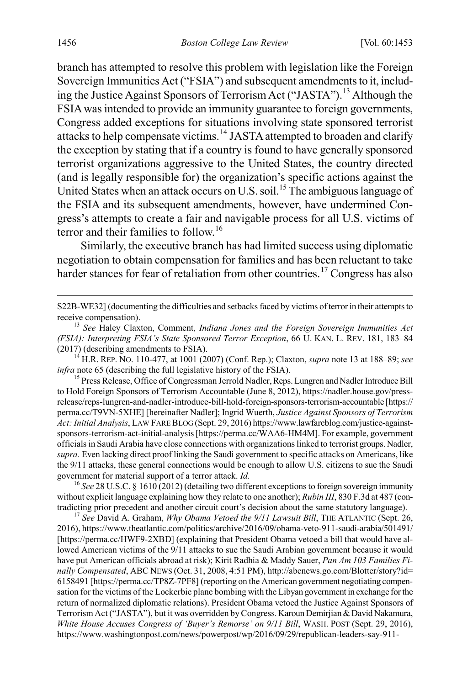<span id="page-4-0"></span>branch has attempted to resolve this problem with legislation like the Foreign Sovereign Immunities Act ("FSIA") and subsequent amendments to it, including the Justice Against Sponsors of Terrorism Act ("JASTA").[13](#page-4-1) Although the FSIA was intended to provide an immunity guarantee to foreign governments, Congress added exceptions for situations involving state sponsored terrorist attacks to help compensate victims.[14](#page-4-2) JASTA attempted to broaden and clarify the exception by stating that if a country is found to have generally sponsored terrorist organizations aggressive to the United States, the country directed (and is legally responsible for) the organization's specific actions against the United States when an attack occurs on U.S. soil.<sup>[15](#page-4-3)</sup> The ambiguous language of the FSIA and its subsequent amendments, however, have undermined Congress's attempts to create a fair and navigable process for all U.S. victims of terror and their families to follow.<sup>[16](#page-4-4)</sup>

<span id="page-4-7"></span><span id="page-4-6"></span>Similarly, the executive branch has had limited success using diplomatic negotiation to obtain compensation for families and has been reluctant to take harder stances for fear of retaliation from other countries.<sup>[17](#page-4-5)</sup> Congress has also

S22B-WE32] (documenting the difficulties and setbacks faced by victims of terror in their attempts to

<span id="page-4-2"></span>*infra* note 65 (describing the full legislative history of the FSIA). 15 Press Release, Office of Congressman Jerrold Nadler, Reps. Lungren and Nadler Introduce Bill

<span id="page-4-3"></span>to Hold Foreign Sponsors of Terrorism Accountable (June 8, 2012), https://nadler.house.gov/pressrelease/reps-lungren-and-nadler-introduce-bill-hold-foreign-sponsors-terrorism-accountable [https:// perma.cc/T9VN-5XHE] [hereinafter Nadler]; Ingrid Wuerth, *Justice Against Sponsors of Terrorism Act: Initial Analysis*, LAW FARE BLOG (Sept. 29, 2016) https://www.lawfareblog.com/justice-againstsponsors-terrorism-act-initial-analysis [https://perma.cc/WAA6-HM4M]. For example, government officials in Saudi Arabia have close connections with organizations linked to terrorist groups. Nadler, *supra*. Even lacking direct proof linking the Saudi government to specific attacks on Americans, like the 9/11 attacks, these general connections would be enough to allow U.S. citizens to sue the Saudi government for material support of a terror attack. *Id.* <sup>16</sup> See 28 U.S.C. § 1610 (2012) (detailing two different exceptions to foreign sovereign immunity

<span id="page-4-4"></span>without explicit language explaining how they relate to one another); *Rubin III*, 830 F.3d at 487 (contradicting prior precedent and another circuit court's decision about the same statutory language). <sup>17</sup> *See* David A. Graham, *Why Obama Vetoed the 9/11 Lawsuit Bill*, THE ATLANTIC (Sept. 26,

<span id="page-4-5"></span>2016), https://www.theatlantic.com/politics/archive/2016/09/obama-veto-911-saudi-arabia/501491/ [https://perma.cc/HWF9-2XBD] (explaining that President Obama vetoed a bill that would have allowed American victims of the 9/11 attacks to sue the Saudi Arabian government because it would have put American officials abroad at risk); Kirit Radhia & Maddy Sauer, *Pan Am 103 Families Finally Compensated*, ABC NEWS (Oct. 31, 2008, 4:51 PM), http://abcnews.go.com/Blotter/story?id= 6158491 [https://perma.cc/TP8Z-7PF8] (reporting on the American government negotiating compensation for the victims of the Lockerbie plane bombing with the Libyan government in exchange for the return of normalized diplomatic relations). President Obama vetoed the Justice Against Sponsors of Terrorism Act ("JASTA"), but it was overridden by Congress. Karoun Demirjian & David Nakamura, *White House Accuses Congress of 'Buyer's Remorse' on 9/11 Bill*, WASH. POST (Sept. 29, 2016), https://www.washingtonpost.com/news/powerpost/wp/2016/09/29/republican-leaders-say-911-

<span id="page-4-1"></span>receive compensation). <sup>13</sup> *See* Haley Claxton, Comment, *Indiana Jones and the Foreign Sovereign Immunities Act (FSIA): Interpreting FSIA's State Sponsored Terror Exception*, 66 U. KAN. L. REV. 181, 183–84 (2017) (describing amendments to FSIA). <sup>14</sup> H.R. REP. NO. 110-477, at 1001 (2007) (Conf. Rep.); Claxton, *supra* not[e 13](#page-4-0) at 188–89; *see*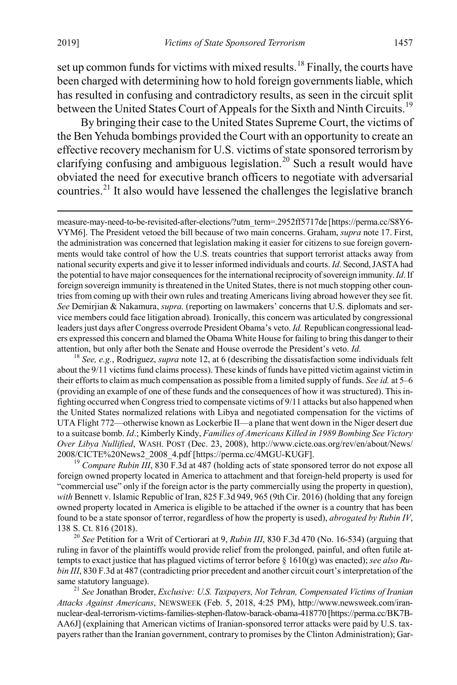set up common funds for victims with mixed results.<sup>[18](#page-5-0)</sup> Finally, the courts have been charged with determining how to hold foreign governments liable, which has resulted in confusing and contradictory results, as seen in the circuit split between the United States Court of Appeals for the Sixth and Ninth Circuits.<sup>[19](#page-5-1)</sup>

By bringing their case to the United States Supreme Court, the victims of the Ben Yehuda bombings provided the Court with an opportunity to create an effective recovery mechanism for U.S. victims of state sponsored terrorism by clarifying confusing and ambiguous legislation.<sup>[20](#page-5-2)</sup> Such a result would have obviated the need for executive branch officers to negotiate with adversarial countries.<sup>[21](#page-5-3)</sup> It also would have lessened the challenges the legislative branch

<span id="page-5-4"></span> measure-may-need-to-be-revisited-after-elections/?utm\_term=.2952ff5717de [https://perma.cc/S8Y6- VYM6]. The President vetoed the bill because of two main concerns. Graham, *supra* not[e 17.](#page-4-6) First, the administration was concerned that legislation making it easier for citizens to sue foreign governments would take control of how the U.S. treats countries that support terrorist attacks away from national security experts and give it to lesser informed individuals and courts. *Id.* Second, JASTA had the potential to have major consequences for the international reciprocity of sovereign immunity. *Id*. If foreign sovereign immunity is threatened in the United States, there is not much stopping other countries from coming up with their own rules and treating Americans living abroad however they see fit. *See* Demirjian & Nakamura, *supra.* (reporting on lawmakers' concerns that U.S. diplomats and service members could face litigation abroad)*.* Ironically, this concern was articulated by congressional leaders just days after Congress overrode President Obama's veto. *Id.* Republican congressional leaders expressed this concern and blamed the Obama White House for failing to bring this danger to their attention, but only after both the Senate and House overrode the President's veto. *Id.* <sup>18</sup> *See, e.g.*, Rodriguez, *supra* note [12,](#page-3-6) at 6 (describing the dissatisfaction some individuals felt

<span id="page-5-0"></span>about the 9/11 victims fund claims process). These kinds of funds have pitted victim against victim in their efforts to claim as much compensation as possible from a limited supply of funds. *See id.* at 5–6 (providing an example of one of these funds and the consequences of how it was structured). This infighting occurred when Congress tried to compensate victims of 9/11 attacks but also happened when the United States normalized relations with Libya and negotiated compensation for the victims of UTA Flight 772—otherwise known as Lockerbie II—a plane that went down in the Niger desert due to a suitcase bomb. *Id*.; Kimberly Kindy, *Families of Americans Killed in 1989 Bombing See Victory Over Libya Nullified*, WASH. POST (Dec. 23, 2008), http://www.cicte.oas.org/rev/en/about/News/ 2008/CICTE%20News2\_2008\_4.pdf [https://perma.cc/4MGU-KUGF]. <sup>19</sup> *Compare Rubin III*, 830 F.3d at 487 (holding acts of state sponsored terror do not expose all

<span id="page-5-1"></span>foreign owned property located in America to attachment and that foreign-held property is used for "commercial use" only if the foreign actor is the party commercially using the property in question), *with* Bennett v. Islamic Republic of Iran, 825 F.3d 949, 965 (9th Cir. 2016) (holding that any foreign owned property located in America is eligible to be attached if the owner is a country that has been found to be a state sponsor of terror, regardless of how the property is used), *abrogated by Rubin IV*, 138 S. Ct. 816 (2018). <sup>20</sup> *See* Petition for a Writ of Certiorari at 9, *Rubin III*, 830 F.3d 470 (No. 16-534) (arguing that

<span id="page-5-2"></span>ruling in favor of the plaintiffs would provide relief from the prolonged, painful, and often futile attempts to exact justice that has plagued victims of terror before § 1610(g) was enacted); *see also Rubin III*, 830 F.3d at 487 (contradicting prior precedent and another circuit court's interpretation of the same statutory language).<br><sup>21</sup> *See Jonathan Broder, Exclusive: U.S. Taxpayers, Not Tehran, Compensated Victims of Iranian* 

<span id="page-5-3"></span>*Attacks Against Americans*, NEWSWEEK (Feb. 5, 2018, 4:25 PM), http://www.newsweek.com/irannuclear-deal-terrorism-victims-families-stephen-flatow-barack-obama-418770 [https://perma.cc/BK7B-AA6J] (explaining that American victims of Iranian-sponsored terror attacks were paid by U.S. taxpayers rather than the Iranian government, contrary to promises by the Clinton Administration); Gar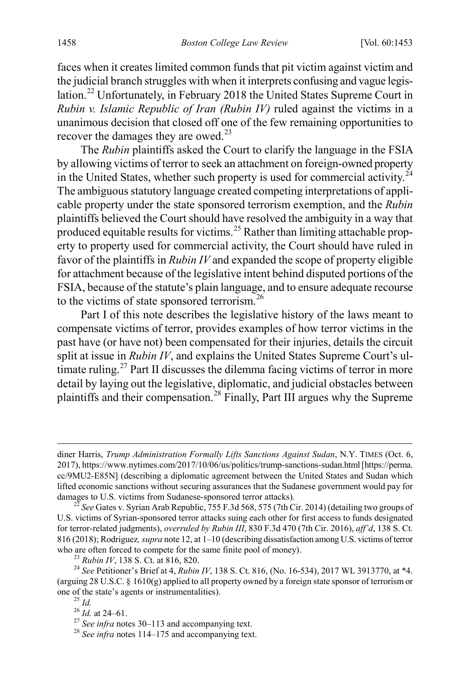faces when it creates limited common funds that pit victim against victim and the judicial branch struggles with when it interprets confusing and vague legislation.[22](#page-6-0) Unfortunately, in February 2018 the United States Supreme Court in *Rubin v. Islamic Republic of Iran (Rubin IV)* ruled against the victims in a unanimous decision that closed off one of the few remaining opportunities to recover the damages they are owed. $^{23}$  $^{23}$  $^{23}$ 

<span id="page-6-7"></span>The *Rubin* plaintiffs asked the Court to clarify the language in the FSIA by allowing victims of terror to seek an attachment on foreign-owned property in the United States, whether such property is used for commercial activity.<sup>[24](#page-6-2)</sup> The ambiguous statutory language created competing interpretations of applicable property under the state sponsored terrorism exemption, and the *Rubin* plaintiffs believed the Court should have resolved the ambiguity in a way that produced equitable results for victims.<sup>[25](#page-6-3)</sup> Rather than limiting attachable property to property used for commercial activity, the Court should have ruled in favor of the plaintiffs in *Rubin IV* and expanded the scope of property eligible for attachment because of the legislative intent behind disputed portions of the FSIA, because of the statute's plain language, and to ensure adequate recourse to the victims of state sponsored terrorism.<sup>[26](#page-6-4)</sup>

Part I of this note describes the legislative history of the laws meant to compensate victims of terror, provides examples of how terror victims in the past have (or have not) been compensated for their injuries, details the circuit split at issue in *Rubin IV*, and explains the United States Supreme Court's ul-timate ruling.<sup>[27](#page-6-5)</sup> Part II discusses the dilemma facing victims of terror in more detail by laying out the legislative, diplomatic, and judicial obstacles between plaintiffs and their compensation.[28](#page-6-6) Finally, Part III argues why the Supreme

diner Harris, *Trump Administration Formally Lifts Sanctions Against Sudan*, N.Y. TIMES (Oct. 6, 2017), https://www.nytimes.com/2017/10/06/us/politics/trump-sanctions-sudan.html[https://perma. cc/9MU2-E85N] (describing a diplomatic agreement between the United States and Sudan which lifted economic sanctions without securing assurances that the Sudanese government would pay for damages to U.S. victims from Sudanese-sponsored terror attacks). <sup>22</sup> *See* Gates v. Syrian Arab Republic, 755 F.3d 568, 575 (7th Cir. 2014) (detailing two groups of

<span id="page-6-0"></span>U.S. victims of Syrian-sponsored terror attacks suing each other for first access to funds designated for terror-related judgments), *overruled by Rubin III*, 830 F.3d 470 (7th Cir. 2016), *aff'd*, 138 S. Ct. 816 (2018); Rodriguez*, supra* not[e 12,](#page-3-6) at 1–10 (describing dissatisfaction among U.S. victims of terror who are often forced to compete for the same finite pool of money).<br><sup>23</sup> *Rubin IV*, 138 S. Ct. at 816, 820.<br><sup>24</sup> *See* Petitioner's Brief at 4, *Rubin IV*, 138 S. Ct. 816, (No. 16-534), 2017 WL 3913770, at \*4.

<span id="page-6-4"></span><span id="page-6-3"></span><span id="page-6-2"></span><span id="page-6-1"></span><sup>(</sup>arguing 28 U.S.C. § 1610(g) applied to all property owned by a foreign state sponsor of terrorism or one of the state's agents or instrumentalities).<br><sup>25</sup> *Id.* at 24–61.<br><sup>27</sup> *See infra* notes [30–](#page-7-0)[113](#page-19-0) and accompanying text.<br><sup>28</sup> *See infra* note[s 114](#page-19-1)[–175](#page-29-0) and accompanying text.

<span id="page-6-6"></span><span id="page-6-5"></span>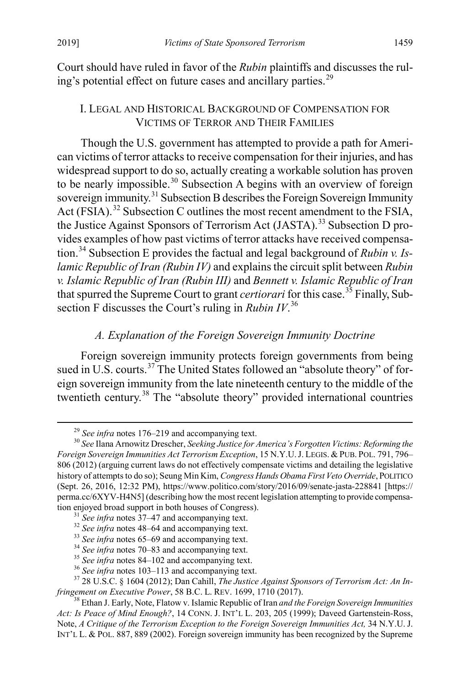Court should have ruled in favor of the *Rubin* plaintiffs and discusses the rul-ing's potential effect on future cases and ancillary parties.<sup>[29](#page-7-2)</sup>

#### <span id="page-7-0"></span>I. LEGAL AND HISTORICAL BACKGROUND OF COMPENSATION FOR VICTIMS OF TERROR AND THEIR FAMILIES

Though the U.S. government has attempted to provide a path for American victims of terror attacks to receive compensation for their injuries, and has widespread support to do so, actually creating a workable solution has proven to be nearly impossible.<sup>[30](#page-7-3)</sup> Subsection A begins with an overview of foreign sovereign immunity.<sup>[31](#page-7-4)</sup> Subsection B describes the Foreign Sovereign Immunity Act (FSIA).<sup>[32](#page-7-5)</sup> Subsection C outlines the most recent amendment to the FSIA, the Justice Against Sponsors of Terrorism Act (JASTA).<sup>[33](#page-7-6)</sup> Subsection D provides examples of how past victims of terror attacks have received compensation.[34](#page-7-7) Subsection E provides the factual and legal background of *Rubin v. Islamic Republic of Iran (Rubin IV)* and explains the circuit split between *Rubin v. Islamic Republic of Iran (Rubin III)* and *Bennett v. Islamic Republic of Iran* that spurred the Supreme Court to grant *certiorari* for this case.<sup>[35](#page-7-8)</sup> Finally, Subsection F discusses the Court's ruling in *Rubin IV*. [36](#page-7-9)

#### <span id="page-7-1"></span>*A. Explanation of the Foreign Sovereign Immunity Doctrine*

Foreign sovereign immunity protects foreign governments from being sued in U.S. courts.<sup>[37](#page-7-10)</sup> The United States followed an "absolute theory" of foreign sovereign immunity from the late nineteenth century to the middle of the twentieth century.<sup>[38](#page-7-11)</sup> The "absolute theory" provided international countries

<span id="page-7-3"></span><span id="page-7-2"></span><sup>&</sup>lt;sup>29</sup> *See infra* note[s 176](#page-30-0)[–219](#page-38-0) and accompanying text.<br><sup>30</sup> *See* Ilana Arnowitz Drescher, *Seeking Justice for America's Forgotten Victims: Reforming the Foreign Sovereign Immunities Act Terrorism Exception*, 15 N.Y.U.J. LEGIS. & PUB. POL. 791, 796– 806 (2012) (arguing current laws do not effectively compensate victims and detailing the legislative history of attempts to do so); Seung Min Kim, *Congress Hands Obama First Veto Override*, POLITICO (Sept. 26, 2016, 12:32 PM), https://www.politico.com/story/2016/09/senate-jasta-228841 [https:// perma.cc/6XYV-H4N5] (describing how the most recent legislation attempting to provide compensa-tion enjoyed broad support in both houses of Congress).<br><sup>31</sup> See infra notes [37–](#page-7-1)[47](#page-9-0) and accompanying text.<br><sup>32</sup> See infra note[s 48–](#page-9-1)[64](#page-12-1) [a](#page-13-0)nd accompanying text.<br><sup>33</sup> See infra notes 65–69 and accompanying text.<br><sup>34</sup> See infra

<span id="page-7-5"></span><span id="page-7-4"></span>

<span id="page-7-10"></span><span id="page-7-9"></span><span id="page-7-8"></span><span id="page-7-7"></span><span id="page-7-6"></span>*fringement on Executive Power*, 58 B.C. L. REV. 1699, 1710 (2017). <sup>38</sup> Ethan J. Early, Note, Flatow v. Islamic Republic of Iran *and the Foreign Sovereign Immunities* 

<span id="page-7-11"></span>*Act: Is Peace of Mind Enough?*, 14 CONN. J. INT'L L. 203, 205 (1999); Daveed Gartenstein-Ross, Note, *A Critique of the Terrorism Exception to the Foreign Sovereign Immunities Act*, 34 N.Y.U. J. INT'L L. & POL. 887, 889 (2002). Foreign sovereign immunity has been recognized by the Supreme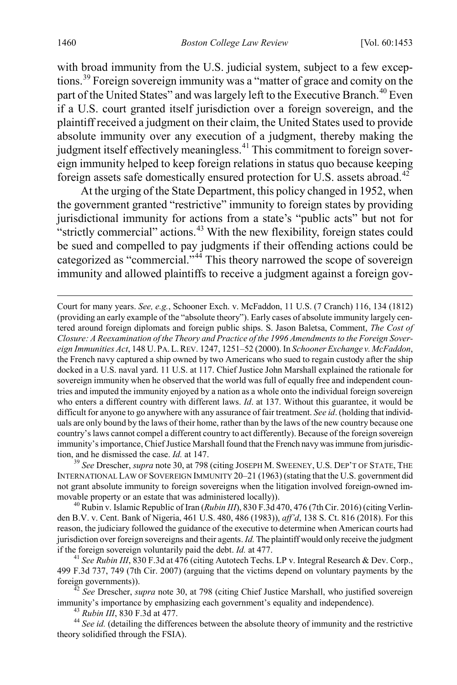with broad immunity from the U.S. judicial system, subject to a few exceptions.[39](#page-8-0) Foreign sovereign immunity was a "matter of grace and comity on the part of the United States" and was largely left to the Executive Branch.<sup>[40](#page-8-1)</sup> Even if a U.S. court granted itself jurisdiction over a foreign sovereign, and the plaintiff received a judgment on their claim, the United States used to provide absolute immunity over any execution of a judgment, thereby making the judgment itself effectively meaningless.<sup>[41](#page-8-2)</sup> This commitment to foreign sovereign immunity helped to keep foreign relations in status quo because keeping foreign assets safe domestically ensured protection for U.S. assets abroad.[42](#page-8-3)

At the urging of the State Department, this policy changed in 1952, when the government granted "restrictive" immunity to foreign states by providing jurisdictional immunity for actions from a state's "public acts" but not for "strictly commercial" actions.<sup>[43](#page-8-4)</sup> With the new flexibility, foreign states could be sued and compelled to pay judgments if their offending actions could be categorized as "commercial."<sup>[44](#page-8-5)</sup> This theory narrowed the scope of sovereign immunity and allowed plaintiffs to receive a judgment against a foreign gov-

 Court for many years. *See, e.g.*, Schooner Exch. v. McFaddon, 11 U.S. (7 Cranch) 116, 134 (1812) (providing an early example of the "absolute theory"). Early cases of absolute immunity largely centered around foreign diplomats and foreign public ships. S. Jason Baletsa, Comment, *The Cost of Closure: A Reexamination of the Theory and Practice of the 1996 Amendments to the Foreign Sovereign Immunities Act*, 148 U. PA. L.REV. 1247, 1251–52 (2000). In *Schooner Exchange v. McFaddon*, the French navy captured a ship owned by two Americans who sued to regain custody after the ship docked in a U.S. naval yard. 11 U.S. at 117. Chief Justice John Marshall explained the rationale for sovereign immunity when he observed that the world was full of equally free and independent countries and imputed the immunity enjoyed by a nation as a whole onto the individual foreign sovereign who enters a different country with different laws. *Id*. at 137. Without this guarantee, it would be difficult for anyone to go anywhere with any assurance of fair treatment. *See id*. (holding that individuals are only bound by the laws of their home, rather than by the laws of the new country because one country's laws cannot compel a different country to act differently). Because of the foreign sovereign immunity's importance, Chief Justice Marshall found that the French navy was immune from jurisdiction, and he dismissed the case. *Id.* at 147.<br><sup>39</sup> *See* Drescher, *supra* not[e 30,](#page-7-0) at 798 (citing JOSEPH M. SWEENEY, U.S. DEP'T OF STATE, THE

<span id="page-8-0"></span>INTERNATIONAL LAW OF SOVEREIGN IMMUNITY 20–21 (1963) (stating that the U.S. government did not grant absolute immunity to foreign sovereigns when the litigation involved foreign-owned immovable property or an estate that was administered locally)).<br><sup>40</sup> Rubin v. Islamic Republic of Iran (*Rubin III*), 830 F.3d 470, 476 (7th Cir. 2016) (citing Verlin-

<span id="page-8-1"></span>den B.V. v. Cent. Bank of Nigeria, 461 U.S. 480, 486 (1983)), *aff'd*, 138 S. Ct. 816 (2018). For this reason, the judiciary followed the guidance of the executive to determine when American courts had jurisdiction over foreign sovereigns and their agents. *Id.* The plaintiff would only receive the judgment if the foreign sovereign voluntarily paid the debt. *Id.* at 477.<br><sup>41</sup> *See Rubin III*, 830 F.3d at 476 (citing Autotech Techs. LP v. Integral Research & Dev. Corp.,

<span id="page-8-2"></span>499 F.3d 737, 749 (7th Cir. 2007) (arguing that the victims depend on voluntary payments by the

<span id="page-8-3"></span>foreign governments)). <sup>42</sup> *See* Drescher, *supra* note [30,](#page-7-0) at 798 (citing Chief Justice Marshall, who justified sovereign

<span id="page-8-5"></span><span id="page-8-4"></span><sup>43</sup> Rubin III, 830 F.3d at 477.<br><sup>44</sup> See id. (detailing the differences between the absolute theory of immunity and the restrictive theory solidified through the FSIA).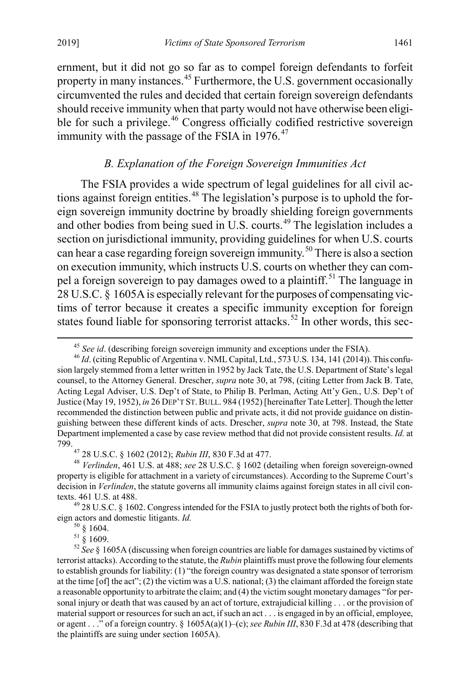ernment, but it did not go so far as to compel foreign defendants to forfeit property in many instances.<sup>[45](#page-9-2)</sup> Furthermore, the U.S. government occasionally circumvented the rules and decided that certain foreign sovereign defendants should receive immunity when that party would not have otherwise been eligi-ble for such a privilege.<sup>[46](#page-9-3)</sup> Congress officially codified restrictive sovereign immunity with the passage of the FSIA in  $1976$ .<sup>[47](#page-9-4)</sup>

#### <span id="page-9-10"></span><span id="page-9-1"></span><span id="page-9-0"></span>*B. Explanation of the Foreign Sovereign Immunities Act*

The FSIA provides a wide spectrum of legal guidelines for all civil ac-tions against foreign entities.<sup>[48](#page-9-5)</sup> The legislation's purpose is to uphold the foreign sovereign immunity doctrine by broadly shielding foreign governments and other bodies from being sued in U.S. courts.<sup>[49](#page-9-6)</sup> The legislation includes a section on jurisdictional immunity, providing guidelines for when U.S. courts can hear a case regarding foreign sovereign immunity.<sup>[50](#page-9-7)</sup> There is also a section on execution immunity, which instructs U.S. courts on whether they can com-pel a foreign sovereign to pay damages owed to a plaintiff.<sup>[51](#page-9-8)</sup> The language in 28 U.S.C. § 1605A is especially relevant for the purposes of compensating victims of terror because it creates a specific immunity exception for foreign states found liable for sponsoring terrorist attacks.<sup>52</sup> In other words, this sec-

<span id="page-9-3"></span><span id="page-9-2"></span><sup>&</sup>lt;sup>45</sup> *See id.* (describing foreign sovereign immunity and exceptions under the FSIA).<br><sup>46</sup> *Id.* (citing Republic of Argentina v. NML Capital, Ltd., 573 U.S. 134, 141 (2014)). This confusion largely stemmed from a letter written in 1952 by Jack Tate, the U.S. Department of State's legal counsel, to the Attorney General. Drescher, *supra* not[e 30,](#page-7-0) at 798, (citing Letter from Jack B. Tate, Acting Legal Adviser, U.S. Dep't of State, to Philip B. Perlman, Acting Att'y Gen., U.S. Dep't of Justice (May 19, 1952), *in* 26 DEP'T ST.BULL. 984 (1952) [hereinafter Tate Letter]. Though the letter recommended the distinction between public and private acts, it did not provide guidance on distinguishing between these different kinds of acts. Drescher, *supra* not[e 30,](#page-7-0) at 798. Instead, the State Department implemented a case by case review method that did not provide consistent results. *Id.* at 799. <sup>47</sup> 28 U.S.C. § 1602 (2012); *Rubin III*, 830 F.3d at 477. <sup>48</sup> *Verlinden*, 461 U.S. at 488; *see* 28 U.S.C. § 1602 (detailing when foreign sovereign-owned

<span id="page-9-5"></span><span id="page-9-4"></span>property is eligible for attachment in a variety of circumstances). According to the Supreme Court's decision in *Verlinden*, the statute governs all immunity claims against foreign states in all civil con-

<span id="page-9-6"></span>texts. 461 U.S. at 488.  $^{49}$  28 U.S.C. § 1602. Congress intended for the FSIA to justly protect both the rights of both for-<br>eign actors and domestic litigants. *Id*.  $^{50}$  § 1604.

<span id="page-9-9"></span><span id="page-9-8"></span><span id="page-9-7"></span>eign actors and domestic litigants. *Id.* 50 § 1604. 51 § 1609. <sup>52</sup> *See* § 1605A (discussing when foreign countries are liable for damages sustained by victims of terrorist attacks). According to the statute, the *Rubin* plaintiffs must prove the following four elements to establish grounds for liability: (1) "the foreign country was designated a state sponsor of terrorism at the time [of] the act"; (2) the victim was a U.S. national; (3) the claimant afforded the foreign state a reasonable opportunity to arbitrate the claim; and (4) the victim sought monetary damages "for personal injury or death that was caused by an act of torture, extrajudicial killing . . . or the provision of material support or resources for such an act, if such an act . . . is engaged in by an official, employee, or agent . . ." of a foreign country. § 1605A(a)(1)–(c); *see Rubin III*, 830 F.3d at 478 (describing that the plaintiffs are suing under section 1605A).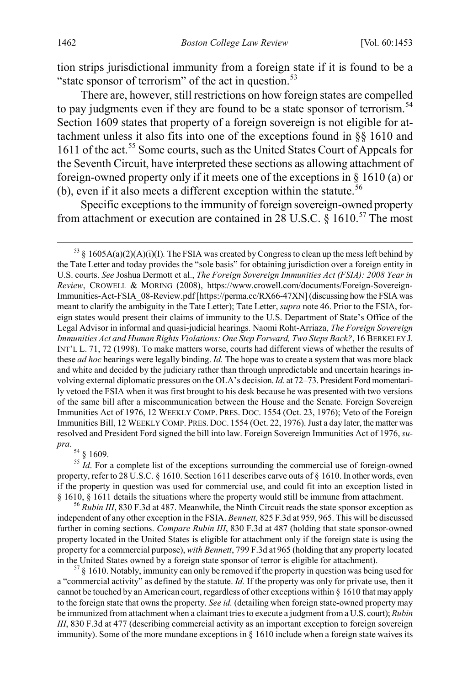tion strips jurisdictional immunity from a foreign state if it is found to be a "state sponsor of terrorism" of the act in question. $53$ 

There are, however, still restrictions on how foreign states are compelled to pay judgments even if they are found to be a state sponsor of terrorism.<sup>[54](#page-10-1)</sup> Section 1609 states that property of a foreign sovereign is not eligible for attachment unless it also fits into one of the exceptions found in §§ 1610 and 1611 of the act.<sup>[55](#page-10-2)</sup> Some courts, such as the United States Court of Appeals for the Seventh Circuit, have interpreted these sections as allowing attachment of foreign-owned property only if it meets one of the exceptions in § 1610 (a) or (b), even if it also meets a different exception within the statute.<sup>[56](#page-10-3)</sup>

Specific exceptions to the immunity of foreign sovereign-owned property from attachment or execution are contained in 28 U.S.C.  $\bar{\delta}$  1610.<sup>[57](#page-10-4)</sup> The most

<span id="page-10-1"></span>pra. 54 § 1609.

<span id="page-10-2"></span><sup>55</sup> *Id*. For a complete list of the exceptions surrounding the commercial use of foreign-owned property, refer to 28 U.S.C. § 1610. Section 1611 describes carve outs of § 1610. In other words, even if the property in question was used for commercial use, and could fit into an exception listed in § 1610, § 1611 details the situations where the property would still be immune from attachment.<br><sup>56</sup> *Rubin III*, 830 F.3d at 487. Meanwhile, the Ninth Circuit reads the state sponsor exception as

<span id="page-10-3"></span>independent of any other exception in the FSIA. *Bennett,* 825 F.3d at 959, 965. This will be discussed further in coming sections. *Compare Rubin III*, 830 F.3d at 487 (holding that state sponsor-owned property located in the United States is eligible for attachment only if the foreign state is using the property for a commercial purpose), *with Bennett*, 799 F.3d at 965 (holding that any property located in the United States owned by a foreign state sponsor of terror is eligible for attachment).  $57 \times 1610$ . Notably, immunity can only be removed if the property in question was being used for

<span id="page-10-4"></span>a "commercial activity" as defined by the statute. *Id.* If the property was only for private use, then it cannot be touched by an American court, regardless of other exceptions within § 1610 that may apply to the foreign state that owns the property. *See id.* (detailing when foreign state-owned property may be immunized from attachment when a claimant tries to execute a judgment from a U.S. court); *Rubin III*, 830 F.3d at 477 (describing commercial activity as an important exception to foreign sovereign immunity). Some of the more mundane exceptions in  $\S$  1610 include when a foreign state waives its

<span id="page-10-0"></span> $^{53}$  § 1605A(a)(2)(A)(i)(I). The FSIA was created by Congress to clean up the mess left behind by the Tate Letter and today provides the "sole basis" for obtaining jurisdiction over a foreign entity in U.S. courts. *See* Joshua Dermott et al., *The Foreign Sovereign Immunities Act (FSIA): 2008 Year in Review*, CROWELL & MORING (2008), https://www.crowell.com/documents/Foreign-Sovereign-Immunities-Act-FSIA\_08-Review.pdf [https://perma.cc/RX66-47XN] (discussing how the FSIA was meant to clarify the ambiguity in the Tate Letter); Tate Letter, *supra* not[e 46.](#page-9-10) Prior to the FSIA, foreign states would present their claims of immunity to the U.S. Department of State's Office of the Legal Advisor in informal and quasi-judicial hearings. Naomi Roht-Arriaza, *The Foreign Sovereign Immunities Act and Human Rights Violations: One Step Forward, Two Steps Back?*, 16 BERKELEY J. INT'L L. 71, 72 (1998). To make matters worse, courts had different views of whether the results of these *ad hoc* hearings were legally binding. *Id.* The hope was to create a system that was more black and white and decided by the judiciary rather than through unpredictable and uncertain hearings involving external diplomatic pressures on the OLA's decision. *Id.* at 72–73. President Ford momentarily vetoed the FSIA when it was first brought to his desk because he was presented with two versions of the same bill after a miscommunication between the House and the Senate. Foreign Sovereign Immunities Act of 1976, 12 WEEKLY COMP. PRES. DOC. 1554 (Oct. 23, 1976); Veto of the Foreign Immunities Bill, 12 WEEKLY COMP. PRES. DOC. 1554 (Oct. 22, 1976). Just a day later, the matter was resolved and President Ford signed the bill into law. Foreign Sovereign Immunities Act of 1976, *su-*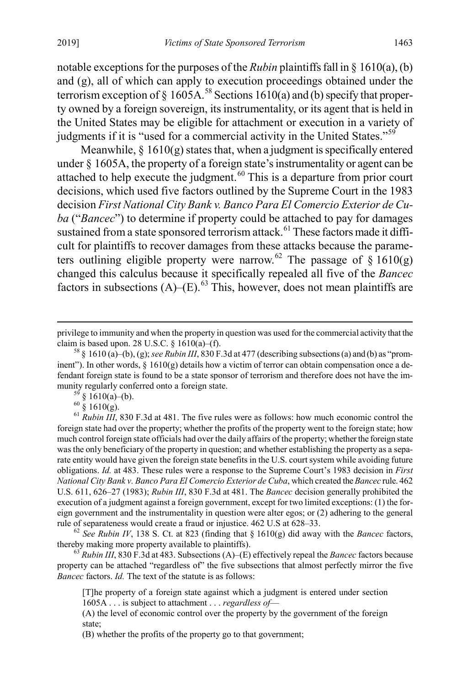notable exceptions for the purposes of the *Rubin* plaintiffs fall in § 1610(a), (b) and (g), all of which can apply to execution proceedings obtained under the terrorism exception of  $\S$  1605A.<sup>[58](#page-11-0)</sup> Sections 1610(a) and (b) specify that property owned by a foreign sovereign, its instrumentality, or its agent that is held in the United States may be eligible for attachment or execution in a variety of judgments if it is "used for a commercial activity in the United States."<sup>[59](#page-11-1)</sup>

Meanwhile,  $\S 1610(g)$  states that, when a judgment is specifically entered under § 1605A, the property of a foreign state's instrumentality or agent can be attached to help execute the judgment.<sup>[60](#page-11-2)</sup> This is a departure from prior court decisions, which used five factors outlined by the Supreme Court in the 1983 decision *First National City Bank v. Banco Para El Comercio Exterior de Cuba* ("*Bancec*") to determine if property could be attached to pay for damages sustained from a state sponsored terrorism attack.<sup>[61](#page-11-3)</sup> These factors made it difficult for plaintiffs to recover damages from these attacks because the parame-ters outlining eligible property were narrow.<sup>[62](#page-11-4)</sup> The passage of  $\S$  1610(g) changed this calculus because it specifically repealed all five of the *Bancec* factors in subsections  $(A)$ – $(E)$ .<sup>[63](#page-11-5)</sup> This, however, does not mean plaintiffs are

<span id="page-11-3"></span><span id="page-11-2"></span><span id="page-11-1"></span>munity regularly conferred onto a foreign state.<br><sup>59</sup> § 1610(a)–(b).<br><sup>60</sup> § 1610(g).<br><sup>61</sup> *Rubin III*, 830 F.3d at 481. The five rules were as follows: how much economic control the foreign state had over the property; whether the profits of the property went to the foreign state; how much control foreign state officials had over the daily affairs of the property; whether the foreign state was the only beneficiary of the property in question; and whether establishing the property as a separate entity would have given the foreign state benefits in the U.S. court system while avoiding future obligations. *Id.* at 483. These rules were a response to the Supreme Court's 1983 decision in *First National City Bank v. Banco Para El Comercio Exterior de Cuba*, which created the*Bancec* rule. 462 U.S. 611, 626–27 (1983); *Rubin III*, 830 F.3d at 481. The *Bancec* decision generally prohibited the execution of a judgment against a foreign government, except for two limited exceptions: (1) the foreign government and the instrumentality in question were alter egos; or (2) adhering to the general rule of separateness would create a fraud or injustice. 462 U.S at 628–33.<br><sup>62</sup> *See Rubin IV*, 138 S. Ct. at 823 (finding that § 1610(g) did away with the *Bancec* factors,

<span id="page-11-4"></span>thereby making more property available to plaintiffs). <sup>63</sup> *Rubin III*, 830 F.3d at 483. Subsections (A)–(E) effectively repeal the *Bancec* factors because

<span id="page-11-5"></span>property can be attached "regardless of" the five subsections that almost perfectly mirror the five *Bancec* factors. *Id.* The text of the statute is as follows:

[T]he property of a foreign state against which a judgment is entered under section 1605A . . . is subject to attachment . . . *regardless of*—

(A) the level of economic control over the property by the government of the foreign state;

(B) whether the profits of the property go to that government;

privilege to immunity and when the property in question was used for the commercial activity that the claim is based upon. 28 U.S.C. § 1610(a)–(f).<br><sup>58</sup> § 1610 (a)–(b), (g); *see Rubin III*, 830 F.3d at 477 (describing subsections (a) and (b) as "prom-

<span id="page-11-0"></span>inent"). In other words,  $\S$  1610(g) details how a victim of terror can obtain compensation once a defendant foreign state is found to be a state sponsor of terrorism and therefore does not have the im-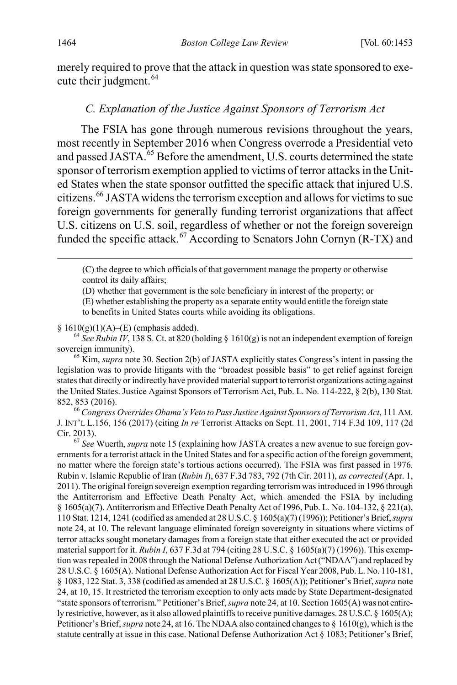merely required to prove that the attack in question was state sponsored to exe-cute their judgment.<sup>[64](#page-12-2)</sup>

#### <span id="page-12-1"></span><span id="page-12-0"></span>*C. Explanation of the Justice Against Sponsors of Terrorism Act*

The FSIA has gone through numerous revisions throughout the years, most recently in September 2016 when Congress overrode a Presidential veto and passed JASTA.<sup>[65](#page-12-3)</sup> Before the amendment, U.S. courts determined the state sponsor of terrorism exemption applied to victims of terror attacks in the United States when the state sponsor outfitted the specific attack that injured U.S. citizens.[66](#page-12-4) JASTA widens the terrorism exception and allows for victims to sue foreign governments for generally funding terrorist organizations that affect U.S. citizens on U.S. soil, regardless of whether or not the foreign sovereign funded the specific attack.<sup>[67](#page-12-5)</sup> According to Senators John Cornyn  $(R-TX)$  and

 (C) the degree to which officials of that government manage the property or otherwise control its daily affairs;

(D) whether that government is the sole beneficiary in interest of the property; or

(E) whether establishing the property as a separate entity would entitle the foreign state

to benefits in United States courts while avoiding its obligations.

<span id="page-12-2"></span>§ 1610(g)(1)(A)–(E) (emphasis added).<br><sup>64</sup> *See Rubin IV*, 138 S. Ct. at 820 (holding § 1610(g) is not an independent exemption of foreign sovereign immunity).

<span id="page-12-3"></span><sup>65</sup> Kim, *supra* not[e 30.](#page-7-0) Section 2(b) of JASTA explicitly states Congress's intent in passing the legislation was to provide litigants with the "broadest possible basis" to get relief against foreign states that directly or indirectly have provided material support to terrorist organizations acting against the United States. Justice Against Sponsors of Terrorism Act, Pub. L. No. 114-222, § 2(b), 130 Stat. 852, 853 (2016). <sup>66</sup> *Congress Overrides Obama's Veto to Pass Justice Against Sponsors of Terrorism Act*, 111 AM.

<span id="page-12-4"></span>J. INT'L L.156, 156 (2017) (citing *In re* Terrorist Attacks on Sept. 11, 2001, 714 F.3d 109, 117 (2d Cir. 2013). <sup>67</sup> *See* Wuerth, *supra* not[e 15](#page-4-7) (explaining how JASTA creates a new avenue to sue foreign gov-

<span id="page-12-5"></span>ernments for a terrorist attack in the United States and for a specific action of the foreign government, no matter where the foreign state's tortious actions occurred). The FSIA was first passed in 1976. Rubin v. Islamic Republic of Iran (*Rubin I*), 637 F.3d 783, 792 (7th Cir. 2011), *as corrected* (Apr. 1, 2011). The original foreign sovereign exemption regarding terrorism was introduced in 1996 through the Antiterrorism and Effective Death Penalty Act, which amended the FSIA by including  $§ 1605(a)(7)$ . Antiterrorism and Effective Death Penalty Act of 1996, Pub. L. No. 104-132,  $§ 221(a)$ , 110 Stat. 1214, 1241 (codified as amended at 28 U.S.C. § 1605(a)(7) (1996)); Petitioner's Brief, *supra*  note [24,](#page-6-7) at 10. The relevant language eliminated foreign sovereignty in situations where victims of terror attacks sought monetary damages from a foreign state that either executed the act or provided material support for it. *Rubin I*, 637 F.3d at 794 (citing 28 U.S.C. § 1605(a)(7) (1996)). This exemption was repealed in 2008 through the National Defense Authorization Act ("NDAA") and replaced by 28 U.S.C. § 1605(A). National Defense Authorization Act for Fiscal Year 2008, Pub. L. No. 110-181, § 1083, 122 Stat. 3, 338 (codified as amended at 28 U.S.C. § 1605(A)); Petitioner's Brief, *supra* note [24,](#page-6-7) at 10, 15. It restricted the terrorism exception to only acts made by State Department-designated "state sponsors of terrorism." Petitioner's Brief, *supra* not[e 24,](#page-6-7) at 10. Section 1605(A) was not entirely restrictive, however, as it also allowed plaintiffs to receive punitive damages. 28 U.S.C. § 1605(A); Petitioner's Brief, *supra* not[e 24,](#page-6-7) at 16. The NDAA also contained changes to § 1610(g), which is the statute centrally at issue in this case. National Defense Authorization Act § 1083; Petitioner's Brief,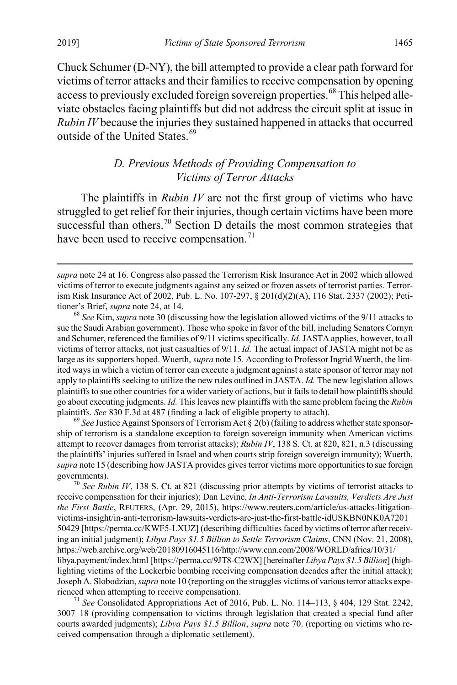$\overline{a}$ 

Chuck Schumer (D-NY), the bill attempted to provide a clear path forward for victims of terror attacks and their families to receive compensation by opening access to previously excluded foreign sovereign properties.<sup>[68](#page-13-2)</sup> This helped alleviate obstacles facing plaintiffs but did not address the circuit split at issue in *Rubin IV* because the injuries they sustained happened in attacks that occurred outside of the United States.<sup>[69](#page-13-3)</sup>

#### <span id="page-13-1"></span><span id="page-13-0"></span>*D. Previous Methods of Providing Compensation to Victims of Terror Attacks*

The plaintiffs in *Rubin IV* are not the first group of victims who have struggled to get relief for their injuries, though certain victims have been more successful than others.<sup>[70](#page-13-4)</sup> Section D details the most common strategies that have been used to receive compensation.<sup>[71](#page-13-5)</sup>

<span id="page-13-2"></span>sue the Saudi Arabian government). Those who spoke in favor of the bill, including Senators Cornyn and Schumer, referenced the families of 9/11 victims specifically. *Id.*JASTA applies, however, to all victims of terror attacks, not just casualties of 9/11. *Id.* The actual impact of JASTA might not be as large as its supporters hoped. Wuerth, *supra* not[e 15.](#page-4-7) According to Professor Ingrid Wuerth, the limited ways in which a victim of terror can execute a judgment against a state sponsor of terror may not apply to plaintiffs seeking to utilize the new rules outlined in JASTA. *Id.* The new legislation allows plaintiffs to sue other countries for a wider variety of actions, but it fails to detail how plaintiffs should go about executing judgments. *Id.* This leaves new plaintiffs with the same problem facing the *Rubin* plaintiffs. *See* 830 F.3d at 487 (finding a lack of eligible property to attach).<br><sup>69</sup> *See* Justice Against Sponsors of Terrorism Act § 2(b) (failing to address whether state sponsor-

<span id="page-13-3"></span>ship of terrorism is a standalone exception to foreign sovereign immunity when American victims attempt to recover damages from terrorist attacks); *Rubin IV*, 138 S. Ct. at 820, 821, n.3 (discussing the plaintiffs' injuries suffered in Israel and when courts strip foreign sovereign immunity); Wuerth, *supra* not[e 15](#page-4-7) (describing how JASTA provides gives terror victims more opportunities to sue foreign governments).<br><sup>70</sup> *See Rubin IV*, 138 S. Ct. at 821 (discussing prior attempts by victims of terrorist attacks to

<span id="page-13-4"></span>receive compensation for their injuries); Dan Levine, *In Anti-Terrorism Lawsuits, Verdicts Are Just the First Battle*, REUTERS, (Apr. 29, 2015), https://www.reuters.com/article/us-attacks-litigationvictims-insight/in-anti-terrorism-lawsuits-verdicts-are-just-the-first-battle-idUSKBN0NK0A7201 50429 [https://perma.cc/KWF5-LXUZ] (describing difficulties faced by victims of terror after receiving an initial judgment); *Libya Pays \$1.5 Billion to Settle Terrorism Claims*, CNN (Nov. 21, 2008), https://web.archive.org/web/20180916045116/http://www.cnn.com/2008/WORLD/africa/10/31/ libya.payment/index.html [https://perma.cc/9JT8-C2WX] [hereinafter *Libya Pays \$1.5 Billion*] (highlighting victims of the Lockerbie bombing receiving compensation decades after the initial attack); Joseph A. Slobodzian, *supra* not[e 10](#page-3-0) (reporting on the struggles victims of various terror attacks expe-

<span id="page-13-5"></span>rienced when attempting to receive compensation). <sup>71</sup> *See* Consolidated Appropriations Act of 2016, Pub. L. No. 114–113, § 404, 129 Stat. 2242, 3007–18 (providing compensation to victims through legislation that created a special fund after courts awarded judgments); *Libya Pays \$1.5 Billion*, *supra* note [70.](#page-13-1) (reporting on victims who received compensation through a diplomatic settlement).

*supra* not[e 24](#page-6-7) at 16. Congress also passed the Terrorism Risk Insurance Act in 2002 which allowed victims of terror to execute judgments against any seized or frozen assets of terrorist parties. Terrorism Risk Insurance Act of 2002, Pub. L. No. 107-297, § 201(d)(2)(A), 116 Stat. 2337 (2002); Petitioner's Brief, *supra* note [24,](#page-6-7) at 14. *b* and the legislation allowed victims of the 9/11 attacks to *<sup>68</sup> See* Kim, *supra* not[e 30](#page-7-0) (discussing how the legislation allowed victims of the 9/11 attacks to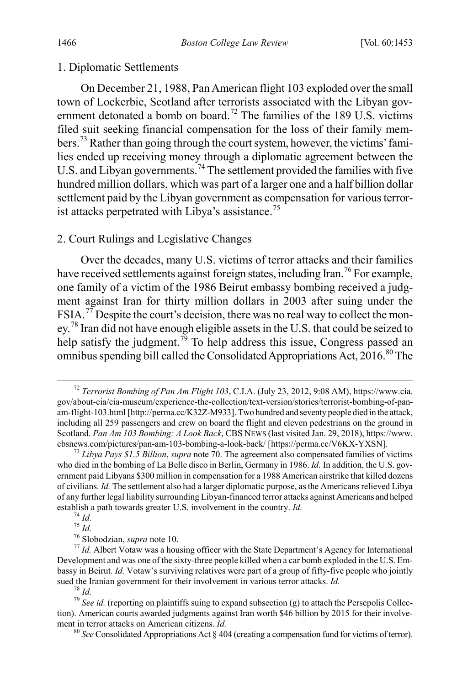#### 1. Diplomatic Settlements

<span id="page-14-10"></span><span id="page-14-9"></span>On December 21, 1988, Pan American flight 103 exploded over the small town of Lockerbie, Scotland after terrorists associated with the Libyan gov-ernment detonated a bomb on board.<sup>[72](#page-14-0)</sup> The families of the 189 U.S. victims filed suit seeking financial compensation for the loss of their family members.[73](#page-14-1) Rather than going through the court system, however, the victims' families ended up receiving money through a diplomatic agreement between the U.S. and Libyan governments.<sup>[74](#page-14-2)</sup> The settlement provided the families with five hundred million dollars, which was part of a larger one and a half billion dollar settlement paid by the Libyan government as compensation for various terror-ist attacks perpetrated with Libya's assistance.<sup>[75](#page-14-3)</sup>

#### 2. Court Rulings and Legislative Changes

Over the decades, many U.S. victims of terror attacks and their families have received settlements against foreign states, including Iran.<sup>[76](#page-14-4)</sup> For example, one family of a victim of the 1986 Beirut embassy bombing received a judgment against Iran for thirty million dollars in 2003 after suing under the FSIA.<sup>[77](#page-14-5)</sup> Despite the court's decision, there was no real way to collect the mon-ey.<sup>[78](#page-14-6)</sup> Iran did not have enough eligible assets in the U.S. that could be seized to help satisfy the judgment.<sup>[79](#page-14-7)</sup> To help address this issue, Congress passed an omnibus spending bill called the Consolidated Appropriations Act,  $2016^{80}$  $2016^{80}$  $2016^{80}$  The

<span id="page-14-0"></span> <sup>72</sup> *Terrorist Bombing of Pan Am Flight 103*, C.I.A. (July 23, 2012, 9:08 AM), https://www.cia. gov/about-cia/cia-museum/experience-the-collection/text-version/stories/terrorist-bombing-of-panam-flight-103.html [http://perma.cc/K32Z-M933]. Two hundred and seventy people died in the attack, including all 259 passengers and crew on board the flight and eleven pedestrians on the ground in Scotland. *Pan Am 103 Bombing: A Look Back*, CBS NEWS (last visited Jan. 29, 2018), https://www. cbsnews.com/pictures/pan-am-103-bombing-a-look-back/ [https://perma.cc/V6KX-YXSN]. <sup>73</sup> *Libya Pays \$1.5 Billion*, *supra* not[e 70.](#page-13-1) The agreement also compensated families of victims

<span id="page-14-1"></span>who died in the bombing of La Belle disco in Berlin, Germany in 1986. *Id.* In addition, the U.S. government paid Libyans \$300 million in compensation for a 1988 American airstrike that killed dozens of civilians. *Id.* The settlement also had a larger diplomatic purpose, as the Americans relieved Libya of any further legal liability surrounding Libyan-financed terror attacks against Americans and helped establish a path towards greater U.S. involvement in the country. *Id.*<br>
<sup>74</sup> *Id.*<br>
<sup>75</sup> *Id.*<br>
<sup>76</sup> Slobodzian, *supra* note 10.<br>
<sup>77</sup> *Id.* Albert Votaw was a housing officer with the State Department's Agency for Inte

<span id="page-14-5"></span><span id="page-14-4"></span><span id="page-14-3"></span><span id="page-14-2"></span>Development and was one of the sixty-three people killed when a car bomb exploded in the U.S. Embassy in Beirut. *Id.* Votaw's surviving relatives were part of a group of fifty-five people who jointly sued the Iranian government for their involvement in various terror attacks. *Id.* <sup>78</sup> *Id.* <sup>79</sup> *See id.* (reporting on plaintiffs suing to expand subsection (g) to attach the Persepolis Collec-

<span id="page-14-8"></span><span id="page-14-7"></span><span id="page-14-6"></span>tion). American courts awarded judgments against Iran worth \$46 billion by 2015 for their involvement in terror attacks on American citizens. *Id.* 80 *See* Consolidated Appropriations Act § 404 (creating a compensation fund for victims of terror).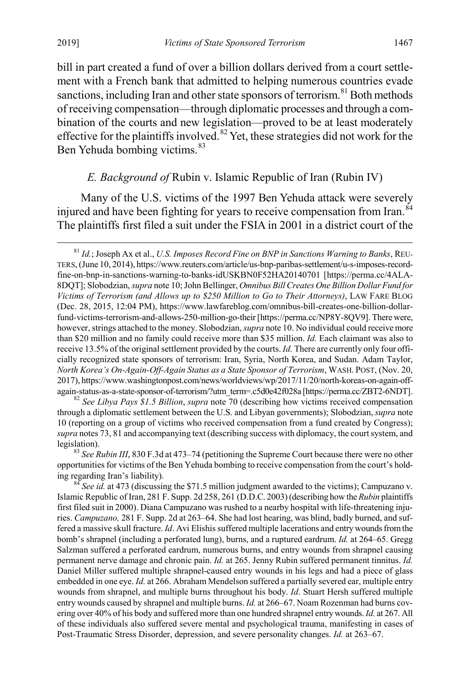bill in part created a fund of over a billion dollars derived from a court settlement with a French bank that admitted to helping numerous countries evade sanctions, including Iran and other state sponsors of terrorism.<sup>[81](#page-15-3)</sup> Both methods of receiving compensation—through diplomatic processes and through a combination of the courts and new legislation—proved to be at least moderately effective for the plaintiffs involved.<sup>[82](#page-15-4)</sup> Yet, these strategies did not work for the Ben Yehuda bombing victims.<sup>[83](#page-15-5)</sup>

#### <span id="page-15-2"></span><span id="page-15-1"></span><span id="page-15-0"></span>*E. Background of* Rubin v. Islamic Republic of Iran (Rubin IV)

Many of the U.S. victims of the 1997 Ben Yehuda attack were severely injured and have been fighting for years to receive compensation from Iran.<sup>[84](#page-15-6)</sup> The plaintiffs first filed a suit under the FSIA in 2001 in a district court of the

<span id="page-15-4"></span>through a diplomatic settlement between the U.S. and Libyan governments); Slobodzian, *supra* note [10](#page-3-0) (reporting on a group of victims who received compensation from a fund created by Congress); *supra* note[s 73,](#page-14-9) [81](#page-15-2) and accompanying text (describing success with diplomacy, the court system, and legislation).<br><sup>83</sup> *See Rubin III*, 830 F.3d at 473–74 (petitioning the Supreme Court because there were no other

<span id="page-15-5"></span>opportunities for victims of the Ben Yehuda bombing to receive compensation from the court's holding regarding Iran's liability). <sup>84</sup> *See id.* at 473 (discussing the \$71.5 million judgment awarded to the victims); Campuzano v.

<span id="page-15-6"></span>Islamic Republic of Iran, 281 F. Supp. 2d 258, 261 (D.D.C. 2003) (describing how the *Rubin* plaintiffs first filed suit in 2000). Diana Campuzano was rushed to a nearby hospital with life-threatening injuries. *Campuzano,* 281 F. Supp. 2d at 263–64. She had lost hearing, was blind, badly burned, and suffered a massive skull fracture. *Id*. Avi Elishis suffered multiple lacerations and entry wounds from the bomb's shrapnel (including a perforated lung), burns, and a ruptured eardrum. *Id.* at 264–65. Gregg Salzman suffered a perforated eardrum, numerous burns, and entry wounds from shrapnel causing permanent nerve damage and chronic pain. *Id.* at 265. Jenny Rubin suffered permanent tinnitus. *Id.* Daniel Miller suffered multiple shrapnel-caused entry wounds in his legs and had a piece of glass embedded in one eye. *Id.* at 266. Abraham Mendelson suffered a partially severed ear, multiple entry wounds from shrapnel, and multiple burns throughout his body. *Id*. Stuart Hersh suffered multiple entry wounds caused by shrapnel and multiple burns. *Id.* at 266–67. Noam Rozenman had burns covering over 40% of his body and suffered more than one hundred shrapnel entry wounds. *Id.* at 267. All of these individuals also suffered severe mental and psychological trauma, manifesting in cases of Post-Traumatic Stress Disorder, depression, and severe personality changes. *Id.* at 263–67.

<span id="page-15-3"></span> <sup>81</sup> *Id.*; Joseph Ax et al., *U.S. Imposes Record Fine on BNP in Sanctions Warning to Banks*, REU-TERS,(June 10, 2014), https://www.reuters.com/article/us-bnp-paribas-settlement/u-s-imposes-recordfine-on-bnp-in-sanctions-warning-to-banks-idUSKBN0F52HA20140701 [https://perma.cc/4ALA-8DQT]; Slobodzian, *supra* not[e 10;](#page-3-0) John Bellinger, *Omnibus Bill Creates One Billion Dollar Fund for Victims of Terrorism (and Allows up to \$250 Million to Go to Their Attorneys)*, LAW FARE BLOG (Dec. 28, 2015, 12:04 PM), https://www.lawfareblog.com/omnibus-bill-creates-one-billion-dollarfund-victims-terrorism-and-allows-250-million-go-their [https://perma.cc/NP8Y-8QV9]. There were, however, strings attached to the money. Slobodzian, *supra* not[e 10.](#page-3-0) No individual could receive more than \$20 million and no family could receive more than \$35 million. *Id.* Each claimant was also to receive 13.5% of the original settlement provided by the courts. *Id.* There are currently only four officially recognized state sponsors of terrorism: Iran, Syria, North Korea, and Sudan. Adam Taylor, *North Korea's On-Again-Off-Again Status as a State Sponsor of Terrorism*, WASH. POST, (Nov. 20, 2017), https://www.washingtonpost.com/news/worldviews/wp/2017/11/20/north-koreas-on-again-offagain-status-as-a-state-sponsor-of-terrorism/?utm\_term=.c5d0e42f028a [https://perma.cc/ZBT2-6NDT]. <sup>82</sup> *See Libya Pays \$1.5 Billion*, *supra* note [70](#page-13-1) (describing how victims received compensation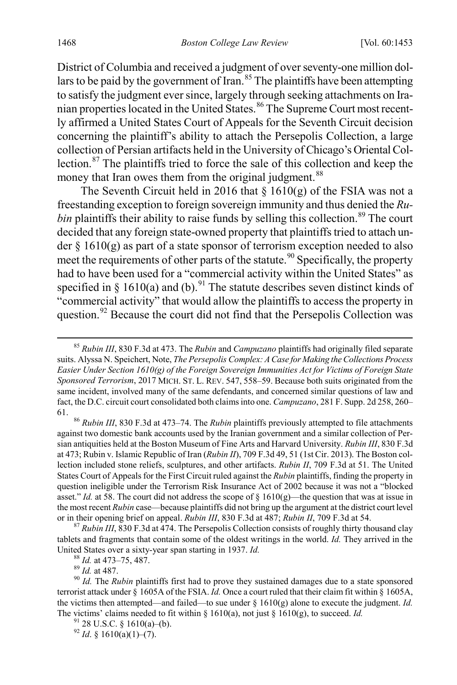<span id="page-16-8"></span>District of Columbia and received a judgment of over seventy-one million dol-lars to be paid by the government of Iran.<sup>[85](#page-16-0)</sup> The plaintiffs have been attempting to satisfy the judgment ever since, largely through seeking attachments on Ira-nian properties located in the United States.<sup>[86](#page-16-1)</sup> The Supreme Court most recently affirmed a United States Court of Appeals for the Seventh Circuit decision concerning the plaintiff's ability to attach the Persepolis Collection, a large collection of Persian artifacts held in the University of Chicago's Oriental Collection.[87](#page-16-2) The plaintiffs tried to force the sale of this collection and keep the money that Iran owes them from the original judgment.<sup>[88](#page-16-3)</sup>

The Seventh Circuit held in 2016 that  $\S$  1610(g) of the FSIA was not a freestanding exception to foreign sovereign immunity and thus denied the *Rubin* plaintiffs their ability to raise funds by selling this collection.<sup>[89](#page-16-4)</sup> The court decided that any foreign state-owned property that plaintiffs tried to attach under  $\S$  1610(g) as part of a state sponsor of terrorism exception needed to also meet the requirements of other parts of the statute.<sup>[90](#page-16-5)</sup> Specifically, the property had to have been used for a "commercial activity within the United States" as specified in § 1610(a) and (b).<sup>[91](#page-16-6)</sup> The statute describes seven distinct kinds of "commercial activity" that would allow the plaintiffs to access the property in question.<sup>[92](#page-16-7)</sup> Because the court did not find that the Persepolis Collection was

<span id="page-16-1"></span>against two domestic bank accounts used by the Iranian government and a similar collection of Persian antiquities held at the Boston Museum of Fine Arts and Harvard University. *Rubin III*, 830 F.3d at 473; Rubin v. Islamic Republic of Iran (*Rubin II*), 709 F.3d 49, 51 (1st Cir. 2013). The Boston collection included stone reliefs, sculptures, and other artifacts. *Rubin II*, 709 F.3d at 51. The United States Court of Appeals for the First Circuit ruled against the *Rubin* plaintiffs, finding the property in question ineligible under the Terrorism Risk Insurance Act of 2002 because it was not a "blocked asset." *Id.* at 58. The court did not address the scope of  $\S$  1610(g)—the question that was at issue in the most recent *Rubin* case—because plaintiffs did not bring up the argument at the district court level or in their opening brief on appeal. *Rubin III*, 830 F.3d at 487; *Rubin II*, 709 F.3d at 54. <sup>87</sup> *Rubin III*, 830 F.3d at 474. The Persepolis Collection consists of roughly thirty thousand clay

<span id="page-16-2"></span>tablets and fragments that contain some of the oldest writings in the world. *Id.* They arrived in the United States over a sixty-year span starting in 1937. *Id.*<br><sup>88</sup> *Id.* at 473–75, 487.<br><sup>89</sup> *Id.* at 487.<br><sup>90</sup> *Id.* The *Rubin* plaintiffs first had to prove they sustained damages due to a state sponsored

<span id="page-16-7"></span>

<span id="page-16-0"></span> <sup>85</sup> *Rubin III*, 830 F.3d at 473. The *Rubin* and *Campuzano* plaintiffs had originally filed separate suits. Alyssa N. Speichert, Note, *The Persepolis Complex: A Case for Making the Collections Process Easier Under Section 1610(g) of the Foreign Sovereign Immunities Act for Victims of Foreign State Sponsored Terrorism*, 2017 MICH. ST. L. REV. 547, 558–59. Because both suits originated from the same incident, involved many of the same defendants, and concerned similar questions of law and fact, the D.C. circuit court consolidated both claims into one. *Campuzano*, 281 F. Supp. 2d 258, 260– 61. <sup>86</sup> *Rubin III*, 830 F.3d at 473–74. The *Rubin* plaintiffs previously attempted to file attachments

<span id="page-16-6"></span><span id="page-16-5"></span><span id="page-16-4"></span><span id="page-16-3"></span>terrorist attack under § 1605A of the FSIA. *Id.* Once a court ruled that their claim fit within § 1605A, the victims then attempted—and failed—to sue under § 1610(g) alone to execute the judgment. *Id.*  The victims' claims needed to fit within § 1610(a), not just § 1610(g), to succeed. *Id.* <sup>91</sup> 28 U.S.C. § 1610(a)(-(b). <sup>92</sup> *Id*. § 1610(a)(1)–(7).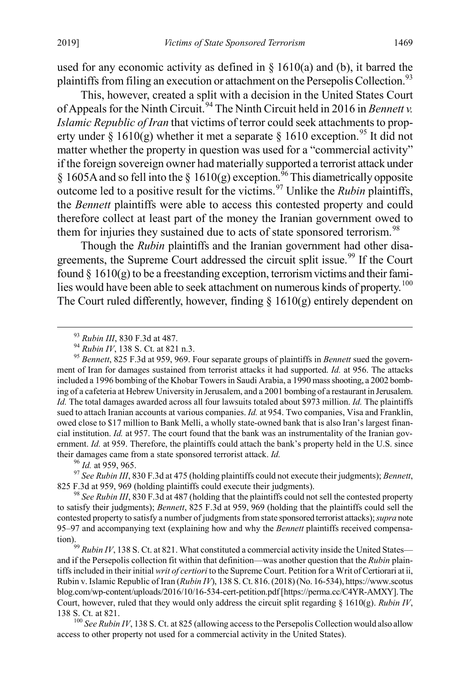used for any economic activity as defined in  $\S$  1610(a) and (b), it barred the plaintiffs from filing an execution or attachment on the Persepolis Collection.<sup>[93](#page-17-2)</sup>

<span id="page-17-0"></span>This, however, created a split with a decision in the United States Court of Appeals for the Ninth Circuit.<sup>[94](#page-17-3)</sup> The Ninth Circuit held in 2016 in *Bennett v. Islamic Republic of Iran* that victims of terror could seek attachments to prop-erty under § 1610(g) whether it met a separate § 1610 exception.<sup>[95](#page-17-4)</sup> It did not matter whether the property in question was used for a "commercial activity" if the foreign sovereign owner had materially supported a terrorist attack under § 1605A and so fell into the § 1610(g) exception.<sup>[96](#page-17-5)</sup> This diametrically opposite outcome led to a positive result for the victims.[97](#page-17-6) Unlike the *Rubin* plaintiffs, the *Bennett* plaintiffs were able to access this contested property and could therefore collect at least part of the money the Iranian government owed to them for injuries they sustained due to acts of state sponsored terrorism.<sup>[98](#page-17-7)</sup>

<span id="page-17-1"></span>Though the *Rubin* plaintiffs and the Iranian government had other disa-greements, the Supreme Court addressed the circuit split issue.<sup>[99](#page-17-8)</sup> If the Court found  $\S$  1610(g) to be a freestanding exception, terrorism victims and their fami-lies would have been able to seek attachment on numerous kinds of property.<sup>[100](#page-17-9)</sup> The Court ruled differently, however, finding  $\S$  1610(g) entirely dependent on

<span id="page-17-6"></span><span id="page-17-5"></span>825 F.3d at 959, 969 (holding plaintiffs could execute their judgments). <sup>98</sup> *See Rubin III*, 830 F.3d at 487 (holding that the plaintiffs could not sell the contested property

<span id="page-17-7"></span>to satisfy their judgments); *Bennett*, 825 F.3d at 959, 969 (holding that the plaintiffs could sell the contested property to satisfy a number of judgments from state sponsored terrorist attacks); *supra* note [95](#page-17-0)[–97](#page-17-1) and accompanying text (explaining how and why the *Bennett* plaintiffs received compensa-

<span id="page-17-8"></span>tion).<br><sup>99</sup> *Rubin IV*, 138 S. Ct. at 821. What constituted a commercial activity inside the United States and if the Persepolis collection fit within that definition—was another question that the *Rubin* plaintiffs included in their initial *writ of certiori* to the Supreme Court. Petition for a Writ of Certiorari at ii, Rubin v. Islamic Republic of Iran (*Rubin IV*), 138 S. Ct. 816. (2018) (No. 16-534), https://www.scotus blog.com/wp-content/uploads/2016/10/16-534-cert-petition.pdf [https://perma.cc/C4YR-AMXY]. The Court, however, ruled that they would only address the circuit split regarding § 1610(g). *Rubin IV*,

<span id="page-17-9"></span><sup>100</sup> See Rubin IV, 138 S. Ct. at 825 (allowing access to the Persepolis Collection would also allow access to other property not used for a commercial activity in the United States).

<span id="page-17-4"></span><span id="page-17-3"></span><span id="page-17-2"></span><sup>&</sup>lt;sup>93</sup> *Rubin III*, 830 F.3d at 487.<br><sup>94</sup> *Rubin IV*, 138 S. Ct. at 821 n.3.<br><sup>95</sup> *Bennett*, 825 F.3d at 959, 969. Four separate groups of plaintiffs in *Bennett* sued the government of Iran for damages sustained from terrorist attacks it had supported. *Id.* at 956. The attacks included a 1996 bombing of the Khobar Towers in Saudi Arabia, a 1990 mass shooting, a 2002 bombing of a cafeteria at Hebrew University in Jerusalem, and a 2001 bombing of a restaurant in Jerusalem. *Id.* The total damages awarded across all four lawsuits totaled about \$973 million. *Id.* The plaintiffs sued to attach Iranian accounts at various companies. *Id.* at 954. Two companies, Visa and Franklin, owed close to \$17 million to Bank Melli, a wholly state-owned bank that is also Iran's largest financial institution. *Id.* at 957. The court found that the bank was an instrumentality of the Iranian government. *Id.* at 959. Therefore, the plaintiffs could attach the bank's property held in the U.S. since their damages came from a state sponsored terrorist attack. *Id.*<br><sup>96</sup> *Id.* at 959, 965. <sup>97</sup> *See Rubin III*, 830 F.3d at 475 (holding plaintiffs could not execute their judgments); *Bennett*,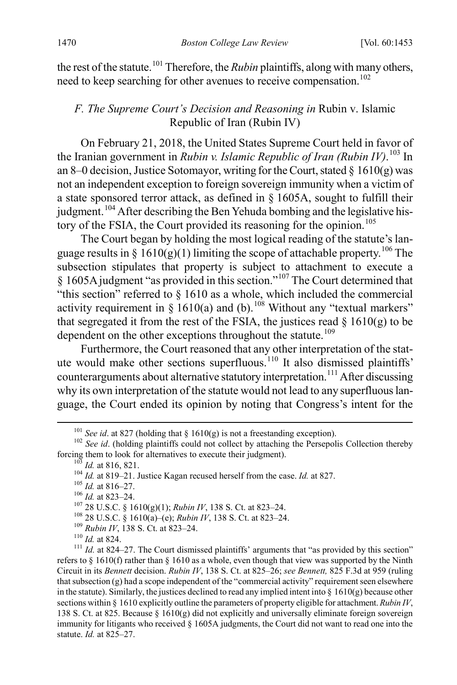the rest of the statute.<sup>[101](#page-18-2)</sup> Therefore, the *Rubin* plaintiffs, along with many others, need to keep searching for other avenues to receive compensation.<sup>[102](#page-18-3)</sup>

#### <span id="page-18-1"></span><span id="page-18-0"></span>*F. The Supreme Court's Decision and Reasoning in* Rubin v. Islamic Republic of Iran (Rubin IV)

On February 21, 2018, the United States Supreme Court held in favor of the Iranian government in *Rubin v. Islamic Republic of Iran (Rubin IV)*. [103](#page-18-4) In an 8–0 decision, Justice Sotomayor, writing for the Court, stated  $\S$  1610(g) was not an independent exception to foreign sovereign immunity when a victim of a state sponsored terror attack, as defined in § 1605A, sought to fulfill their judgment.<sup>[104](#page-18-5)</sup> After describing the Ben Yehuda bombing and the legislative his-tory of the FSIA, the Court provided its reasoning for the opinion.<sup>[105](#page-18-6)</sup>

The Court began by holding the most logical reading of the statute's lan-guage results in § 1610(g)(1) limiting the scope of attachable property.<sup>[106](#page-18-7)</sup> The subsection stipulates that property is subject to attachment to execute a  $§$  1605A judgment "as provided in this section."<sup>[107](#page-18-8)</sup> The Court determined that "this section" referred to § 1610 as a whole, which included the commercial activity requirement in  $\S$  1610(a) and (b).<sup>[108](#page-18-9)</sup> Without any "textual markers" that segregated it from the rest of the FSIA, the justices read  $\S$  1610(g) to be dependent on the other exceptions throughout the statute.<sup>[109](#page-18-10)</sup>

Furthermore, the Court reasoned that any other interpretation of the stat-ute would make other sections superfluous.<sup>[110](#page-18-11)</sup> It also dismissed plaintiffs' counterarguments about alternative statutory interpretation.<sup>[111](#page-18-12)</sup> After discussing why its own interpretation of the statute would not lead to any superfluous language, the Court ended its opinion by noting that Congress's intent for the

<span id="page-18-9"></span><span id="page-18-8"></span>

<span id="page-18-10"></span>

<span id="page-18-12"></span><span id="page-18-11"></span>

<span id="page-18-7"></span><span id="page-18-6"></span><span id="page-18-5"></span><span id="page-18-4"></span><span id="page-18-3"></span>forcing them to look for alternatives to execute their judgment).<br>
<sup>103</sup> *Id.* at 816, 821.<br>
<sup>104</sup> *Id.* at 819–21. Justice Kagan recused herself from the case. *Id.* at 827.<br>
<sup>105</sup> *Id.* at 816–27.<br>
<sup>106</sup> *Id.* at 823–24 refers to § 1610(f) rather than § 1610 as a whole, even though that view was supported by the Ninth Circuit in its *Bennett* decision. *Rubin IV*, 138 S. Ct. at 825–26; *see Bennett,* 825 F.3d at 959 (ruling that subsection (g) had a scope independent of the "commercial activity" requirement seen elsewhere in the statute). Similarly, the justices declined to read any implied intent into  $\S$  1610(g) because other sections within § 1610 explicitly outline the parameters of property eligible for attachment. *Rubin IV*, 138 S. Ct. at 825. Because § 1610(g) did not explicitly and universally eliminate foreign sovereign immunity for litigants who received § 1605A judgments, the Court did not want to read one into the statute. *Id.* at 825–27.

<span id="page-18-13"></span>

<span id="page-18-2"></span><sup>&</sup>lt;sup>101</sup> *See id.* at 827 (holding that § 1610(g) is not a freestanding exception).<br><sup>102</sup> *See id.* (holding plaintiffs could not collect by attaching the Persepolis Collection thereby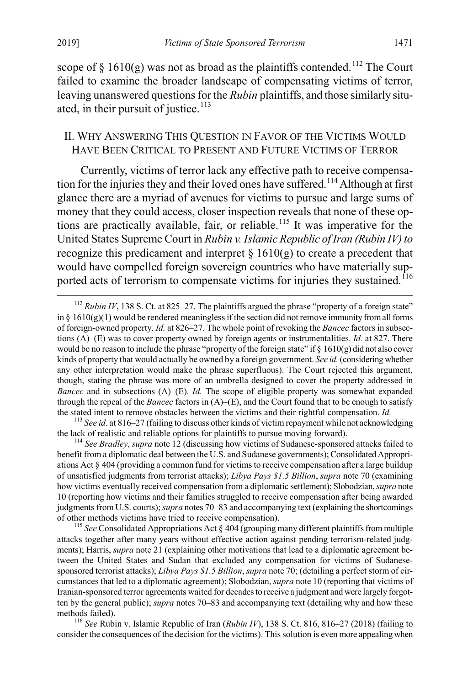<span id="page-19-7"></span>scope of  $\S$  1610(g) was not as broad as the plaintiffs contended.<sup>[112](#page-19-2)</sup> The Court failed to examine the broader landscape of compensating victims of terror, leaving unanswered questions for the *Rubin* plaintiffs, and those similarly situated, in their pursuit of justice. $113$ 

#### <span id="page-19-1"></span><span id="page-19-0"></span>II. WHY ANSWERING THIS QUESTION IN FAVOR OF THE VICTIMS WOULD HAVE BEEN CRITICAL TO PRESENT AND FUTURE VICTIMS OF TERROR

Currently, victims of terror lack any effective path to receive compensa-tion for the injuries they and their loved ones have suffered.<sup>[114](#page-19-4)</sup> Although at first glance there are a myriad of avenues for victims to pursue and large sums of money that they could access, closer inspection reveals that none of these op-tions are practically available, fair, or reliable.<sup>[115](#page-19-5)</sup> It was imperative for the United States Supreme Court in *Rubin v. Islamic Republic of Iran (Rubin IV)to*  recognize this predicament and interpret  $\S 1610(g)$  to create a precedent that would have compelled foreign sovereign countries who have materially sup-ported acts of terrorism to compensate victims for injuries they sustained.<sup>[116](#page-19-6)</sup>

<span id="page-19-3"></span><sup>113</sup> See id. at 816–27 (failing to discuss other kinds of victim repayment while not acknowledging the lack of realistic and reliable options for plaintiffs to pursue moving forward). <sup>114</sup> *See Bradley*, *supra* note 12 (discussing how victims of Sudanese-sponsored attacks failed to

<span id="page-19-4"></span>benefit from a diplomatic deal between the U.S. and Sudanese governments); Consolidated Appropriations Act § 404 (providing a common fund for victims to receive compensation after a large buildup of unsatisfied judgments from terrorist attacks); *Libya Pays \$1.5 Billion*, *supra* note [70](#page-13-1) (examining how victims eventually received compensation from a diplomatic settlement); Slobodzian,*supra* note [10](#page-3-0) (reporting how victims and their families struggled to receive compensation after being awarded judgments from U.S. courts); *supra* note[s 70](#page-13-1)[–83](#page-15-1) and accompanying text (explaining the shortcomings of other methods victims have tried to receive compensation). <sup>115</sup> *See* Consolidated Appropriations Act § 404 (grouping many different plaintiffs from multiple

<span id="page-19-5"></span>attacks together after many years without effective action against pending terrorism-related judgments); Harris, *supra* not[e 21](#page-5-4) (explaining other motivations that lead to a diplomatic agreement between the United States and Sudan that excluded any compensation for victims of Sudanesesponsored terrorist attacks); *Libya Pays \$1.5 Billion*, *supra* not[e 70;](#page-13-1) (detailing a perfect storm of circumstances that led to a diplomatic agreement); Slobodzian, *supra* not[e 10](#page-3-0) (reporting that victims of Iranian-sponsored terror agreements waited for decades to receive a judgment and were largely forgotten by the general public); *supra* note[s 70](#page-13-1)[–83](#page-15-1) and accompanying text (detailing why and how these methods failed). <sup>116</sup> *See* Rubin v. Islamic Republic of Iran (*Rubin IV*), 138 S. Ct. 816, 816–27 (2018) (failing to

<span id="page-19-6"></span>consider the consequences of the decision for the victims). This solution is even more appealing when

<span id="page-19-2"></span><sup>&</sup>lt;sup>112</sup> *Rubin IV*, 138 S. Ct. at 825–27. The plaintiffs argued the phrase "property of a foreign state" in  $\S$  1610(g)(1) would be rendered meaningless if the section did not remove immunity from all forms of foreign-owned property. *Id.* at 826–27. The whole point of revoking the *Bancec* factors in subsections (A)–(E) was to cover property owned by foreign agents or instrumentalities. *Id.* at 827. There would be no reason to include the phrase "property of the foreign state" if  $\S$  1610(g) did not also cover kinds of property that would actually be owned by a foreign government. *See id.*(considering whether any other interpretation would make the phrase superfluous). The Court rejected this argument, though, stating the phrase was more of an umbrella designed to cover the property addressed in *Bancec* and in subsections (A)–(E). *Id.* The scope of eligible property was somewhat expanded through the repeal of the *Bancec* factors in  $(A)$ – $(E)$ , and the Court found that to be enough to satisfy the stated intent to remove obstacles between the victims and their rightful compensation. *Id.*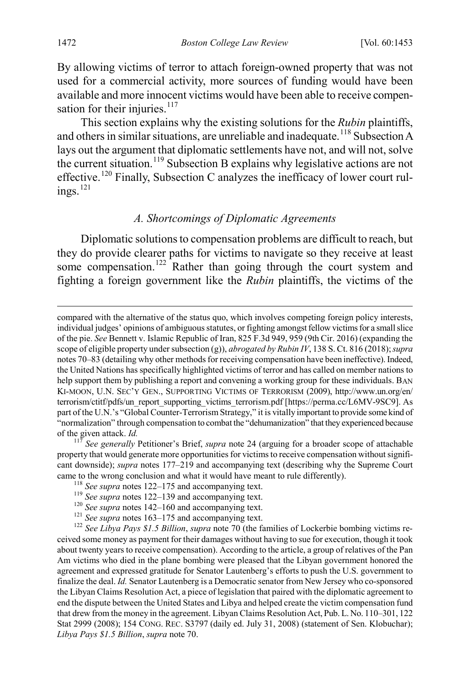By allowing victims of terror to attach foreign-owned property that was not used for a commercial activity, more sources of funding would have been available and more innocent victims would have been able to receive compensation for their injuries. $117$ 

This section explains why the existing solutions for the *Rubin* plaintiffs, and others in similar situations, are unreliable and inadequate.<sup>[118](#page-20-2)</sup> Subsection A lays out the argument that diplomatic settlements have not, and will not, solve the current situation.[119](#page-20-3) Subsection B explains why legislative actions are not effective.<sup>120</sup> Finally, Subsection C analyzes the inefficacy of lower court rul- $ings.<sup>121</sup>$  $ings.<sup>121</sup>$  $ings.<sup>121</sup>$ 

### <span id="page-20-0"></span>*A. Shortcomings of Diplomatic Agreements*

Diplomatic solutions to compensation problems are difficult to reach, but they do provide clearer paths for victims to navigate so they receive at least some compensation.<sup>[122](#page-20-6)</sup> Rather than going through the court system and fighting a foreign government like the *Rubin* plaintiffs, the victims of the

<span id="page-20-2"></span><span id="page-20-1"></span>property that would generate more opportunities for victims to receive compensation without significant downside); *supra* notes [177](#page-30-1)[–219](#page-38-0) and accompanying text (describing why the Supreme Court came to the wrong conclusion and what it would have meant to rule differently).<br><sup>118</sup> See supra note[s 122](#page-20-0)[–175](#page-29-0) and accompanying text.<br><sup>119</sup> See supra notes 122[–139](#page-23-0) and accompanying text.<br><sup>120</sup> See supra note[s 142](#page-24-0)[–160](#page-26-0) and a

<span id="page-20-6"></span><span id="page-20-5"></span><span id="page-20-4"></span><span id="page-20-3"></span>ceived some money as payment for their damages without having to sue for execution, though it took about twenty years to receive compensation). According to the article, a group of relatives of the Pan Am victims who died in the plane bombing were pleased that the Libyan government honored the agreement and expressed gratitude for Senator Lautenberg's efforts to push the U.S. government to finalize the deal. *Id.* Senator Lautenberg is a Democratic senator from New Jersey who co-sponsored the Libyan Claims Resolution Act, a piece of legislation that paired with the diplomatic agreement to end the dispute between the United States and Libya and helped create the victim compensation fund that drew from the money in the agreement. Libyan Claims Resolution Act, Pub. L. No. 110–301, 122 Stat 2999 (2008); 154 CONG. REC. S3797 (daily ed. July 31, 2008) (statement of Sen. Klobuchar); *Libya Pays \$1.5 Billion*, *supra* note [70.](#page-13-1) 

compared with the alternative of the status quo, which involves competing foreign policy interests, individual judges' opinions of ambiguous statutes, or fighting amongst fellow victims for a small slice of the pie. *See* Bennett v. Islamic Republic of Iran, 825 F.3d 949, 959 (9th Cir. 2016) (expanding the scope of eligible property under subsection (g)), *abrogated by Rubin IV*, 138 S. Ct. 816 (2018); *supra*  note[s 70](#page-13-1)[–83](#page-15-1) (detailing why other methods for receiving compensation have been ineffective). Indeed, the United Nations has specifically highlighted victims of terror and has called on member nations to help support them by publishing a report and convening a working group for these individuals. BAN KI-MOON, U.N. SEC'Y GEN., SUPPORTING VICTIMS OF TERRORISM (2009), http://www.un.org/en/ terrorism/ctitf/pdfs/un\_report\_supporting\_victims\_terrorism.pdf [https://perma.cc/L6MV-9SC9]. As part of the U.N.'s "Global Counter-Terrorism Strategy," it is vitally important to provide some kind of "normalization" through compensation to combat the "dehumanization" that they experienced because of the given attack. *Id.* <sup>117</sup> *See generally* Petitioner's Brief, *supra* note [24](#page-6-7) (arguing for a broader scope of attachable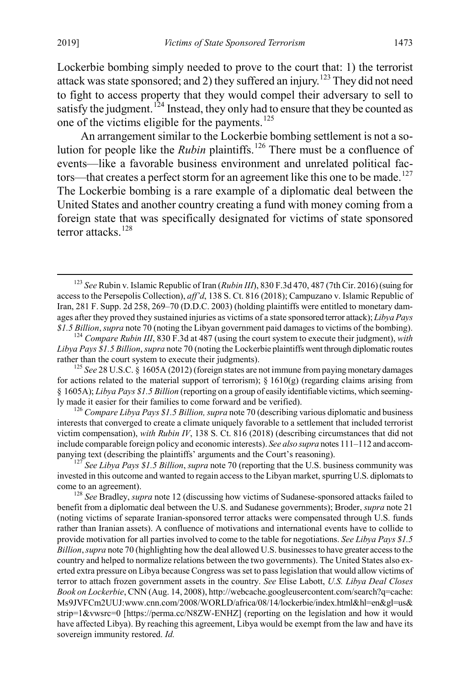Lockerbie bombing simply needed to prove to the court that: 1) the terrorist attack was state sponsored; and 2) they suffered an injury.[123](#page-21-0) They did not need to fight to access property that they would compel their adversary to sell to satisfy the judgment.<sup>[124](#page-21-1)</sup> Instead, they only had to ensure that they be counted as one of the victims eligible for the payments.[125](#page-21-2)

An arrangement similar to the Lockerbie bombing settlement is not a solution for people like the *Rubin* plaintiffs.<sup>[126](#page-21-3)</sup> There must be a confluence of events—like a favorable business environment and unrelated political fac-tors—that creates a perfect storm for an agreement like this one to be made.<sup>[127](#page-21-4)</sup> The Lockerbie bombing is a rare example of a diplomatic deal between the United States and another country creating a fund with money coming from a foreign state that was specifically designated for victims of state sponsored terror attacks.<sup>[128](#page-21-5)</sup>

<span id="page-21-3"></span>interests that converged to create a climate uniquely favorable to a settlement that included terrorist victim compensation), *with Rubin IV*, 138 S. Ct. 816 (2018) (describing circumstances that did not include comparable foreign policy and economic interests). *See also supra* note[s 111](#page-18-13)[–112](#page-19-7) and accompanying text (describing the plaintiffs' arguments and the Court's reasoning). <sup>127</sup> *See Libya Pays \$1.5 Billion*, *supra* not[e 70](#page-13-1) (reporting that the U.S. business community was

<span id="page-21-4"></span>invested in this outcome and wanted to regain access to the Libyan market, spurring U.S. diplomats to

<span id="page-21-5"></span>come to an agreement). <sup>128</sup> *See* Bradley, *supra* not[e 12](#page-3-6) (discussing how victims of Sudanese-sponsored attacks failed to benefit from a diplomatic deal between the U.S. and Sudanese governments); Broder, *supra* note [21](#page-5-4) (noting victims of separate Iranian-sponsored terror attacks were compensated through U.S. funds rather than Iranian assets). A confluence of motivations and international events have to collide to provide motivation for all parties involved to come to the table for negotiations. *See Libya Pays \$1.5 Billion*, *supra* not[e 70](#page-13-1) (highlighting how the deal allowed U.S. businesses to have greater access to the country and helped to normalize relations between the two governments). The United States also exerted extra pressure on Libya because Congress was set to pass legislation that would allow victims of terror to attach frozen government assets in the country. *See* Elise Labott, *U.S. Libya Deal Closes Book on Lockerbie*, CNN (Aug. 14, 2008), http://webcache.googleusercontent.com/search?q=cache: Ms9JVFCm2UUJ:www.cnn.com/2008/WORLD/africa/08/14/lockerbie/index.html&hl=en&gl=us& strip=1&vwsrc=0 [https://perma.cc/N8ZW-ENHZ] (reporting on the legislation and how it would have affected Libya). By reaching this agreement, Libya would be exempt from the law and have its sovereign immunity restored. *Id.*

<span id="page-21-6"></span><span id="page-21-0"></span> <sup>123</sup> *See* Rubin v. Islamic Republic of Iran (*Rubin III*), 830 F.3d 470, 487 (7th Cir. 2016) (suing for access to the Persepolis Collection), *aff'd*, 138 S. Ct. 816 (2018); Campuzano v. Islamic Republic of Iran, 281 F. Supp. 2d 258, 269–70 (D.D.C. 2003) (holding plaintiffs were entitled to monetary damages after they proved they sustained injuries as victims of a state sponsored terror attack); *Libya Pays* 

<span id="page-21-1"></span>*<sup>\$1.5</sup> Billion*, *supra* not[e 70](#page-13-1) (noting the Libyan government paid damages to victims of the bombing). <sup>124</sup> *Compare Rubin III*, 830 F.3d at 487 (using the court system to execute their judgment), *with Libya Pays \$1.5 Billion*, *supra* not[e 70](#page-13-1) (noting the Lockerbie plaintiffs went through diplomatic routes

<span id="page-21-2"></span>rather than the court system to execute their judgments). <sup>125</sup> *See* 28 U.S.C. § 1605A (2012) (foreign states are not immune from paying monetary damages for actions related to the material support of terrorism);  $\S$  1610(g) (regarding claims arising from § 1605A); *Libya Pays \$1.5 Billion* (reporting on a group of easily identifiable victims, which seemingly made it easier for their families to come forward and be verified). <sup>126</sup> *Compare Libya Pays \$1.5 Billion, supra* not[e 70](#page-13-1) (describing various diplomatic and business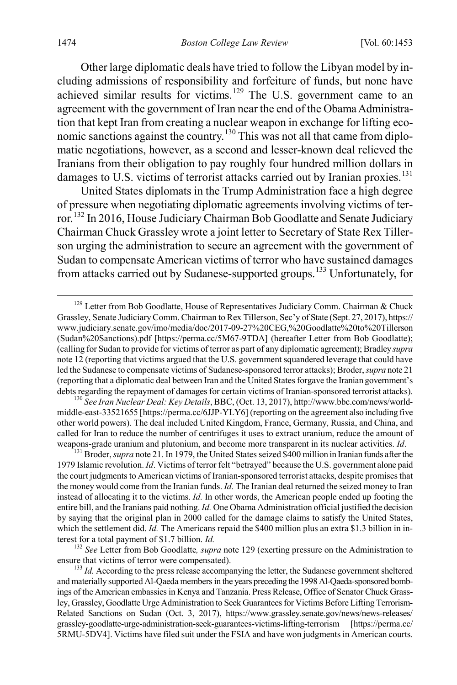<span id="page-22-0"></span>Other large diplomatic deals have tried to follow the Libyan model by including admissions of responsibility and forfeiture of funds, but none have achieved similar results for victims.<sup>[129](#page-22-1)</sup> The U.S. government came to an agreement with the government of Iran near the end of the Obama Administration that kept Iran from creating a nuclear weapon in exchange for lifting economic sanctions against the country.[130](#page-22-2) This was not all that came from diplomatic negotiations, however, as a second and lesser-known deal relieved the Iranians from their obligation to pay roughly four hundred million dollars in damages to U.S. victims of terrorist attacks carried out by Iranian proxies.<sup>[131](#page-22-3)</sup>

United States diplomats in the Trump Administration face a high degree of pressure when negotiating diplomatic agreements involving victims of terror.[132](#page-22-4) In 2016, House Judiciary Chairman Bob Goodlatte and Senate Judiciary Chairman Chuck Grassley wrote a joint letter to Secretary of State Rex Tillerson urging the administration to secure an agreement with the government of Sudan to compensate American victims of terror who have sustained damages from attacks carried out by Sudanese-supported groups.[133](#page-22-5) Unfortunately, for

<span id="page-22-2"></span>middle-east-33521655 [https://perma.cc/6JJP-YLY6] (reporting on the agreement also including five other world powers). The deal included United Kingdom, France, Germany, Russia, and China, and called for Iran to reduce the number of centrifuges it uses to extract uranium, reduce the amount of weapons-grade uranium and plutonium, and become more transparent in its nuclear activities. *Id*. <sup>131</sup> Broder, *supra* not[e 21.](#page-5-4) In 1979, the United States seized \$400 million in Iranian funds after the

<span id="page-22-3"></span>1979 Islamic revolution. *Id*. Victims of terror felt "betrayed" because the U.S. government alone paid the court judgments to American victims of Iranian-sponsored terrorist attacks, despite promises that the money would come from the Iranian funds. *Id.* The Iranian deal returned the seized money to Iran instead of allocating it to the victims. *Id.* In other words, the American people ended up footing the entire bill, and the Iranians paid nothing. *Id.* One Obama Administration official justified the decision by saying that the original plan in 2000 called for the damage claims to satisfy the United States, which the settlement did. *Id.* The Americans repaid the \$400 million plus an extra \$1.3 billion in interest for a total payment of \$1.7 billion. *Id. Id.* 132 *See Letter from Bob Goodlatte, supra* not[e 129](#page-22-0) (exerting pressure on the Administration to

<span id="page-22-4"></span>ensure that victims of terror were compensated). <sup>133</sup> *Id.* According to the press release accompanying the letter, the Sudanese government sheltered

<span id="page-22-5"></span>and materially supported Al-Qaeda members in the years preceding the 1998 Al-Qaeda-sponsored bombings of the American embassies in Kenya and Tanzania. Press Release, Office of Senator Chuck Grassley, Grassley, Goodlatte Urge Administration to Seek Guarantees for Victims Before Lifting Terrorism-Related Sanctions on Sudan (Oct. 3, 2017), https://www.grassley.senate.gov/news/news-releases/ grassley-goodlatte-urge-administration-seek-guarantees-victims-lifting-terrorism [https://perma.cc/ 5RMU-5DV4]. Victims have filed suit under the FSIA and have won judgments in American courts.

<span id="page-22-1"></span> $129$  Letter from Bob Goodlatte, House of Representatives Judiciary Comm. Chairman & Chuck Grassley, Senate Judiciary Comm. Chairman to Rex Tillerson, Sec'y of State (Sept. 27, 2017), https:// www.judiciary.senate.gov/imo/media/doc/2017-09-27%20CEG,%20Goodlatte%20to%20Tillerson (Sudan%20Sanctions).pdf [https://perma.cc/5M67-9TDA] (hereafter Letter from Bob Goodlatte); (calling for Sudan to provide for victims of terror as part of any diplomatic agreement); Bradley *supra* not[e 12](#page-3-6) (reporting that victims argued that the U.S. government squandered leverage that could have led the Sudanese to compensate victims of Sudanese-sponsored terror attacks); Broder, *supra* not[e 21](#page-5-4) (reporting that a diplomatic deal between Iran and the United States forgave the Iranian government's debts regarding the repayment of damages for certain victims of Iranian-sponsored terrorist attacks). <sup>130</sup> *See Iran Nuclear Deal: Key Details*, BBC, (Oct. 13, 2017), http://www.bbc.com/news/world-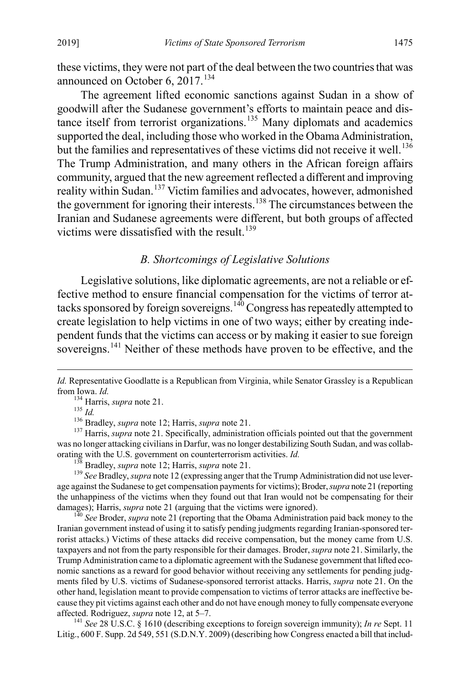these victims, they were not part of the deal between the two countries that was announced on October 6,  $2017$ .<sup>[134](#page-23-1)</sup>

The agreement lifted economic sanctions against Sudan in a show of goodwill after the Sudanese government's efforts to maintain peace and dis-tance itself from terrorist organizations.<sup>[135](#page-23-2)</sup> Many diplomats and academics supported the deal, including those who worked in the Obama Administration, but the families and representatives of these victims did not receive it well.<sup>[136](#page-23-3)</sup> The Trump Administration, and many others in the African foreign affairs community, argued that the new agreement reflected a different and improving reality within Sudan.<sup>[137](#page-23-4)</sup> Victim families and advocates, however, admonished the government for ignoring their interests.<sup>[138](#page-23-5)</sup> The circumstances between the Iranian and Sudanese agreements were different, but both groups of affected victims were dissatisfied with the result.<sup>[139](#page-23-6)</sup>

### <span id="page-23-0"></span>*B. Shortcomings of Legislative Solutions*

Legislative solutions, like diplomatic agreements, are not a reliable or effective method to ensure financial compensation for the victims of terror at-tacks sponsored by foreign sovereigns.<sup>[140](#page-23-7)</sup> Congress has repeatedly attempted to create legislation to help victims in one of two ways; either by creating independent funds that the victims can access or by making it easier to sue foreign sovereigns.<sup>[141](#page-23-8)</sup> Neither of these methods have proven to be effective, and the

 $\overline{a}$ 

<span id="page-23-4"></span><span id="page-23-3"></span><span id="page-23-2"></span>was no longer attacking civilians in Darfur, was no longer destabilizing South Sudan, and was collaborating with the U.S. government on counterterrorism activities. *Id.*<br><sup>138</sup> Bradley, *supra* not[e 12](#page-3-6); Harris, *supra* not[e 21.](#page-5-4)<br><sup>139</sup> See Bradley, *supra* note 12 (expressing anger that the Trump Administration did not use

<span id="page-23-6"></span><span id="page-23-5"></span>age against the Sudanese to get compensation payments for victims); Broder, *supra* not[e 21](#page-5-4) (reporting the unhappiness of the victims when they found out that Iran would not be compensating for their damages); Harris, *supra* note [21](#page-5-4) (arguing that the victims were ignored).<br><sup>140</sup> *See* Broder, *supra* not[e 21](#page-5-4) (reporting that the Obama Administration paid back money to the

<span id="page-23-7"></span>Iranian government instead of using it to satisfy pending judgments regarding Iranian-sponsored terrorist attacks.) Victims of these attacks did receive compensation, but the money came from U.S. taxpayers and not from the party responsible for their damages. Broder, *supra* not[e 21.](#page-5-4) Similarly, the Trump Administration came to a diplomatic agreement with the Sudanese government that lifted economic sanctions as a reward for good behavior without receiving any settlements for pending judgments filed by U.S. victims of Sudanese-sponsored terrorist attacks. Harris, *supra* note [21.](#page-5-4) On the other hand, legislation meant to provide compensation to victims of terror attacks are ineffective because they pit victims against each other and do not have enough money to fully compensate everyone affected. Rodriguez, *supra* note 12, at  $5-7$ .

<span id="page-23-8"></span><sup>141</sup> See 28 U.S.C. § 1610 (describing exceptions to foreign sovereign immunity); *In re* Sept. 11 Litig., 600 F. Supp. 2d 549, 551 (S.D.N.Y. 2009) (describing how Congress enacted a bill that includ-

<span id="page-23-1"></span>*Id.* Representative Goodlatte is a Republican from Virginia, while Senator Grassley is a Republican from Iowa. *Id.*<br><sup>134</sup> Harris, *supra* not[e 21.](#page-5-4)<br><sup>135</sup> *Id.*<br><sup>136</sup> Bradley, *supra* note 12; Harris, *supra* note 21.<br><sup>137</sup> Harris, *supra* note [21.](#page-5-4) Specifically, administration officials pointed out that the government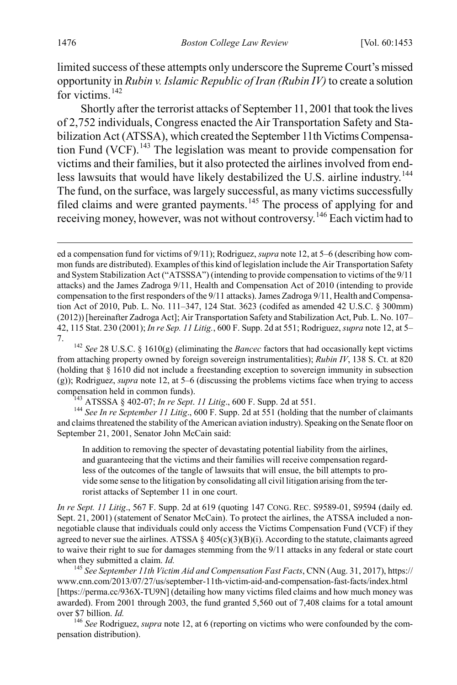limited success of these attempts only underscore the Supreme Court's missed opportunity in *Rubin v. Islamic Republic of Iran (Rubin IV)* to create a solution for victims.<sup>[142](#page-24-1)</sup>

<span id="page-24-0"></span>Shortly after the terrorist attacks of September 11, 2001 that took the lives of 2,752 individuals, Congress enacted the Air Transportation Safety and Stabilization Act (ATSSA), which created the September 11th Victims Compensa-tion Fund (VCF).<sup>[143](#page-24-2)</sup> The legislation was meant to provide compensation for victims and their families, but it also protected the airlines involved from end-less lawsuits that would have likely destabilized the U.S. airline industry.<sup>[144](#page-24-3)</sup> The fund, on the surface, was largely successful, as many victims successfully filed claims and were granted payments.<sup>[145](#page-24-4)</sup> The process of applying for and receiving money, however, was not without controversy.[146](#page-24-5) Each victim had to

<span id="page-24-3"></span><span id="page-24-2"></span>and claims threatened the stability of the American aviation industry). Speaking on the Senate floor on September 21, 2001, Senator John McCain said:

In addition to removing the specter of devastating potential liability from the airlines, and guaranteeing that the victims and their families will receive compensation regardless of the outcomes of the tangle of lawsuits that will ensue, the bill attempts to provide some sense to the litigation by consolidating all civil litigation arising from the terrorist attacks of September 11 in one court.

*In re Sept. 11 Litig*., 567 F. Supp. 2d at 619 (quoting 147 CONG. REC. S9589-01, S9594 (daily ed. Sept. 21, 2001) (statement of Senator McCain). To protect the airlines, the ATSSA included a nonnegotiable clause that individuals could only access the Victims Compensation Fund (VCF) if they agreed to never sue the airlines. ATSSA  $\S$  405(c)(3)(B)(i). According to the statute, claimants agreed to waive their right to sue for damages stemming from the 9/11 attacks in any federal or state court when they submitted a claim. *Id. Id.* 145 *See September 11th Victim Aid and Compensation Fast Facts*, CNN (Aug. 31, 2017), https://

<span id="page-24-4"></span>www.cnn.com/2013/07/27/us/september-11th-victim-aid-and-compensation-fast-facts/index.html [https://perma.cc/936X-TU9N] (detailing how many victims filed claims and how much money was awarded). From 2001 through 2003, the fund granted 5,560 out of 7,408 claims for a total amount over \$7 billion. *Id.* 146 *See* Rodriguez, *supra* not[e 12,](#page-3-6) at 6 (reporting on victims who were confounded by the com-

<span id="page-24-5"></span>pensation distribution).

<span id="page-24-6"></span>ed a compensation fund for victims of 9/11); Rodriguez, *supra* not[e 12,](#page-3-6) at 5–6 (describing how common funds are distributed). Examples of this kind of legislation include the Air Transportation Safety and System Stabilization Act ("ATSSSA") (intending to provide compensation to victims of the 9/11 attacks) and the James Zadroga 9/11, Health and Compensation Act of 2010 (intending to provide compensation to the first responders of the 9/11 attacks). James Zadroga 9/11, Health and Compensation Act of 2010, Pub. L. No. 111–347, 124 Stat. 3623 (codifed as amended 42 U.S.C. § 300mm) (2012)) [hereinafter Zadroga Act]; Air Transportation Safety and Stabilization Act, Pub. L. No. 107– 42, 115 Stat. 230 (2001); *In re Sep. 11 Litig.*, 600 F. Supp. 2d at 551; Rodriguez, *supra* not[e 12,](#page-3-6) at 5– 7. <sup>142</sup> *See* 28 U.S.C. § 1610(g) (eliminating the *Bancec* factors that had occasionally kept victims

<span id="page-24-1"></span>from attaching property owned by foreign sovereign instrumentalities); *Rubin IV*, 138 S. Ct. at 820 (holding that § 1610 did not include a freestanding exception to sovereign immunity in subsection (g)); Rodriguez, *supra* not[e 12,](#page-3-6) at 5–6 (discussing the problems victims face when trying to access compensation held in common funds).<br><sup>143</sup> ATSSSA § 402-07; *In re Sept. 11 Litig.*, 600 F. Supp. 2d at 551.<br><sup>144</sup> *See In re September 11 Litig.*, 600 F. Supp. 2d at 551 (holding that the number of claimants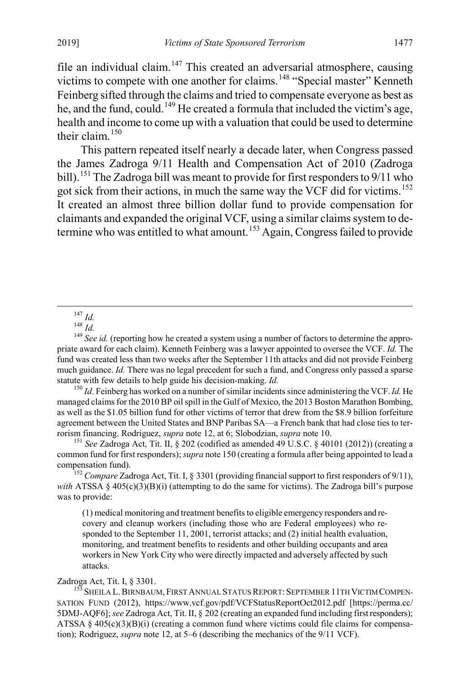file an individual claim.<sup>[147](#page-25-1)</sup> This created an adversarial atmosphere, causing victims to compete with one another for claims.<sup>[148](#page-25-2)</sup> "Special master" Kenneth Feinberg sifted through the claims and tried to compensate everyone as best as he, and the fund, could.<sup>[149](#page-25-3)</sup> He created a formula that included the victim's age, health and income to come up with a valuation that could be used to determine their claim.[150](#page-25-4)

<span id="page-25-0"></span>This pattern repeated itself nearly a decade later, when Congress passed the James Zadroga 9/11 Health and Compensation Act of 2010 (Zadroga bill).<sup>[151](#page-25-5)</sup> The Zadroga bill was meant to provide for first responders to 9/11 who got sick from their actions, in much the same way the VCF did for victims.<sup>[152](#page-25-6)</sup> It created an almost three billion dollar fund to provide compensation for claimants and expanded the original VCF, using a similar claims system to de-termine who was entitled to what amount.<sup>[153](#page-25-7)</sup> Again, Congress failed to provide

<span id="page-25-3"></span><span id="page-25-2"></span><span id="page-25-1"></span><sup>147</sup> *Id.*<br><sup>148</sup> *Id.*<br><sup>149</sup> *See id.* (reporting how he created a system using a number of factors to determine the appropriate award for each claim). Kenneth Feinberg was a lawyer appointed to oversee the VCF. *Id.* The fund was created less than two weeks after the September 11th attacks and did not provide Feinberg much guidance. *Id.* There was no legal precedent for such a fund, and Congress only passed a sparse statute with few details to help guide his decision-making. *Id.* 

<span id="page-25-4"></span> $150$  *Id.* Feinberg has worked on a number of similar incidents since administering the VCF. *Id.* He managed claims for the 2010 BP oil spill in the Gulf of Mexico, the 2013 Boston Marathon Bombing, as well as the \$1.05 billion fund for other victims of terror that drew from the \$8.9 billion forfeiture agreement between the United States and BNP Paribas SA—a French bank that had close ties to terrorism financing. Rodriguez, *supra* note 12, at 6; Slobodzian, *supra* note 10.<br><sup>151</sup> *See Zadroga Act*, Tit. II, § 202 (codified as amended 49 U.S.C. § 40101 (2012)) (creating a

<span id="page-25-5"></span>common fund for first responders); *supra* not[e 150](#page-25-0) (creating a formula after being appointed to lead a compensation fund). <sup>152</sup> *Compare* Zadroga Act, Tit. I, § 3301 (providing financial support to first responders of 9/11),

<span id="page-25-6"></span>*with* ATSSA §  $405(c)(3)(B)(i)$  (attempting to do the same for victims). The Zadroga bill's purpose was to provide:

(1) medical monitoring and treatment benefits to eligible emergency responders and recovery and cleanup workers (including those who are Federal employees) who responded to the September 11, 2001, terrorist attacks; and (2) initial health evaluation, monitoring, and treatment benefits to residents and other building occupants and area workers in New York City who were directly impacted and adversely affected by such attacks.

<span id="page-25-7"></span>Zadroga Act, Tit. I, § 3301.<br><sup>153</sup> Sheila L. Birnbaum, First Annual Status Report: September 11th Victim Compen-SATION FUND (2012), https://www.vcf.gov/pdf/VCFStatusReportOct2012.pdf [https://perma.cc/ 5DMJ-AQF6]; *see* Zadroga Act, Tit. II, § 202 (creating an expanded fund including first responders); ATSSA  $§$  405(c)(3)(B)(i) (creating a common fund where victims could file claims for compensation); Rodriguez, *supra* not[e 12,](#page-3-6) at 5–6 (describing the mechanics of the 9/11 VCF).

<span id="page-25-8"></span>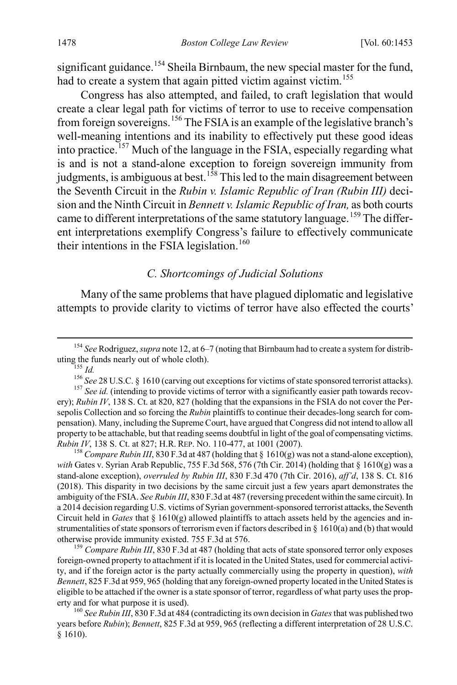significant guidance.<sup>[154](#page-26-1)</sup> Sheila Birnbaum, the new special master for the fund, had to create a system that again pitted victim against victim.<sup>[155](#page-26-2)</sup>

Congress has also attempted, and failed, to craft legislation that would create a clear legal path for victims of terror to use to receive compensation from foreign sovereigns.<sup>[156](#page-26-3)</sup> The FSIA is an example of the legislative branch's well-meaning intentions and its inability to effectively put these good ideas into practice.<sup>[157](#page-26-4)</sup> Much of the language in the FSIA, especially regarding what is and is not a stand-alone exception to foreign sovereign immunity from judgments, is ambiguous at best.<sup>[158](#page-26-5)</sup> This led to the main disagreement between the Seventh Circuit in the *Rubin v. Islamic Republic of Iran (Rubin III)* decision and the Ninth Circuit in *Bennett v. Islamic Republic of Iran,* as both courts came to different interpretations of the same statutory language.<sup>[159](#page-26-6)</sup> The different interpretations exemplify Congress's failure to effectively communicate their intentions in the FSIA legislation.<sup>[160](#page-26-7)</sup>

#### <span id="page-26-0"></span>*C. Shortcomings of Judicial Solutions*

Many of the same problems that have plagued diplomatic and legislative attempts to provide clarity to victims of terror have also effected the courts'

<span id="page-26-1"></span><sup>154</sup> *See* Rodriguez, *supra* not[e 12,](#page-3-6) at 6–7 (noting that Birnbaum had to create a system for distributing the funds nearly out of whole cloth).

<span id="page-26-5"></span>*with* Gates v. Syrian Arab Republic, 755 F.3d 568, 576 (7th Cir. 2014) (holding that § 1610(g) was a stand-alone exception), *overruled by Rubin III*, 830 F.3d 470 (7th Cir. 2016), *aff'd*, 138 S. Ct. 816 (2018). This disparity in two decisions by the same circuit just a few years apart demonstrates the ambiguity of the FSIA. *See Rubin III*, 830 F.3d at 487 (reversing precedent within the same circuit). In a 2014 decision regarding U.S. victims of Syrian government-sponsored terrorist attacks, the Seventh Circuit held in *Gates* that  $\S 1610(g)$  allowed plaintiffs to attach assets held by the agencies and instrumentalities of state sponsors of terrorism even if factors described in  $\S$  1610(a) and (b) that would otherwise provide immunity existed. 755 F.3d at 576. <sup>159</sup> *Compare Rubin III*, 830 F.3d at 487 (holding that acts of state sponsored terror only exposes

<span id="page-26-6"></span>foreign-owned property to attachment if it is located in the United States, used for commercial activity, and if the foreign actor is the party actually commercially using the property in question), *with Bennett*, 825 F.3d at 959, 965 (holding that any foreign-owned property located in the United States is eligible to be attached if the owner is a state sponsor of terror, regardless of what party uses the property and for what purpose it is used). <sup>160</sup> *See Rubin III*, 830 F.3d at 484 (contradicting its own decision in *Gates*that was published two

<span id="page-26-7"></span>years before *Rubin*); *Bennett*, 825 F.3d at 959, 965 (reflecting a different interpretation of 28 U.S.C. § 1610).

<span id="page-26-4"></span><span id="page-26-3"></span><span id="page-26-2"></span><sup>&</sup>lt;sup>156</sup> *Id.*<br><sup>156</sup> *See* 28 U.S.C. § 1610 (carving out exceptions for victims of state sponsored terrorist attacks).<br><sup>157</sup> *See id.* (intending to provide victims of terror with a significantly easier path towards recovery); *Rubin IV*, 138 S. Ct. at 820, 827 (holding that the expansions in the FSIA do not cover the Persepolis Collection and so forcing the *Rubin* plaintiffs to continue their decades-long search for compensation). Many, including the Supreme Court, have argued that Congress did not intend to allow all property to be attachable, but that reading seems doubtful in light of the goal of compensating victims. *Rubin IV*, 138 S. Ct. at 827; H.R. REP. NO. 110-477, at 1001 (2007).<br><sup>158</sup> *Compare Rubin III*, 830 F.3d at 487 (holding that § 1610(g) was not a stand-alone exception),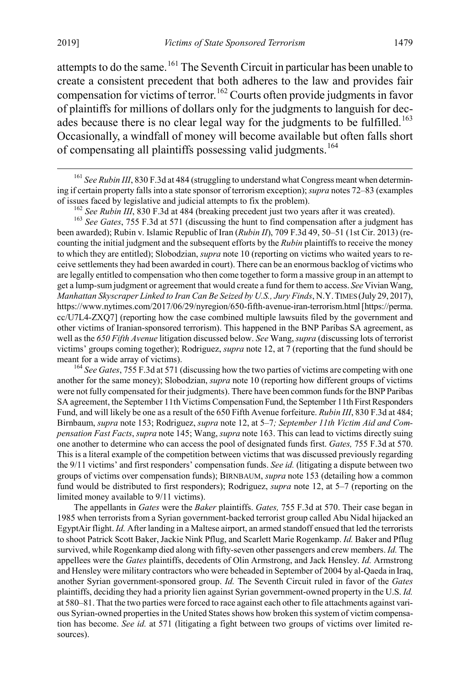attempts to do the same.<sup>[161](#page-27-1)</sup> The Seventh Circuit in particular has been unable to create a consistent precedent that both adheres to the law and provides fair compensation for victims of terror.<sup>[162](#page-27-2)</sup> Courts often provide judgments in favor of plaintiffs for millions of dollars only for the judgments to languish for dec-ades because there is no clear legal way for the judgments to be fulfilled.<sup>[163](#page-27-3)</sup> Occasionally, a windfall of money will become available but often falls short of compensating all plaintiffs possessing valid judgments.<sup>[164](#page-27-4)</sup>

<span id="page-27-1"></span><sup>161</sup> See Rubin III, 830 F.3d at 484 (struggling to understand what Congress meant when determining if certain property falls into a state sponsor of terrorism exception); *supra* note[s 72](#page-14-10)[–83](#page-15-1) (examples of issues faced by legislative and judicial attempts to fix the problem).<br><sup>162</sup> See Rubin III, 830 F.3d at 484 (breaking precedent just two years after it was created).<br><sup>163</sup> See Gates, 755 F.3d at 571 (discussing the hunt

<span id="page-27-0"></span>

<span id="page-27-3"></span><span id="page-27-2"></span>been awarded); Rubin v. Islamic Republic of Iran (*Rubin II*), 709 F.3d 49, 50–51 (1st Cir. 2013) (recounting the initial judgment and the subsequent efforts by the *Rubin* plaintiffs to receive the money to which they are entitled); Slobodzian, *supra* not[e 10](#page-3-0) (reporting on victims who waited years to receive settlements they had been awarded in court). There can be an enormous backlog of victims who are legally entitled to compensation who then come together to form a massive group in an attempt to get a lump-sum judgment or agreement that would create a fund for them to access. *See* Vivian Wang, *Manhattan Skyscraper Linked to Iran Can Be Seized by U.S., Jury Finds*, N.Y.TIMES (July 29, 2017), https://www.nytimes.com/2017/06/29/nyregion/650-fifth-avenue-iran-terrorism.html [https://perma. cc/U7L4-ZXQ7] (reporting how the case combined multiple lawsuits filed by the government and other victims of Iranian-sponsored terrorism). This happened in the BNP Paribas SA agreement, as well as the *650 Fifth Avenue* litigation discussed below. *See* Wang, *supra* (discussing lots of terrorist victims' groups coming together); Rodriguez, *supra* not[e 12,](#page-3-6) at 7 (reporting that the fund should be meant for a wide array of victims).<br><sup>164</sup> *See Gates*, 755 F.3d at 571 (discussing how the two parties of victims are competing with one

<span id="page-27-4"></span>another for the same money); Slobodzian, *supra* not[e 10](#page-3-0) (reporting how different groups of victims were not fully compensated for their judgments). There have been common funds for the BNP Paribas SA agreement, the September 11th Victims Compensation Fund, the September 11th First Responders Fund, and will likely be one as a result of the 650 Fifth Avenue forfeiture. *Rubin III*, 830 F.3d at 484; Birnbaum, *supra* not[e 153;](#page-25-8) Rodriguez, *supra* not[e 12,](#page-3-6) at 5–7*; September 11th Victim Aid and Compensation Fast Facts*, *supra* not[e 145;](#page-24-6) Wang, *supra* not[e 163.](#page-27-0) This can lead to victims directly suing one another to determine who can access the pool of designated funds first. *Gates,* 755 F.3d at 570. This is a literal example of the competition between victims that was discussed previously regarding the 9/11 victims' and first responders' compensation funds. *See id.* (litigating a dispute between two groups of victims over compensation funds); BIRNBAUM, *supra* note 153 (detailing how a common fund would be distributed to first responders); Rodriguez, *supra* note 12, at 5–7 (reporting on the limited money available to 9/11 victims).

The appellants in *Gates* were the *Baker* plaintiffs. *Gates,* 755 F.3d at 570. Their case began in 1985 when terrorists from a Syrian government-backed terrorist group called Abu Nidal hijacked an EgyptAir flight. *Id.* After landing in a Maltese airport, an armed standoff ensued that led the terrorists to shoot Patrick Scott Baker, Jackie Nink Pflug, and Scarlett Marie Rogenkamp. *Id.* Baker and Pflug survived, while Rogenkamp died along with fifty-seven other passengers and crew members. *Id.* The appellees were the *Gates* plaintiffs, decedents of Olin Armstrong, and Jack Hensley. *Id.* Armstrong and Hensley were military contractors who were beheaded in September of 2004 by al-Qaeda in Iraq, another Syrian government-sponsored group. *Id.* The Seventh Circuit ruled in favor of the *Gates* plaintiffs, deciding they had a priority lien against Syrian government-owned property in the U.S. *Id.* at 580–81. That the two parties were forced to race against each other to file attachments against various Syrian-owned properties in the United States shows how broken this system of victim compensation has become. *See id.* at 571 (litigating a fight between two groups of victims over limited resources).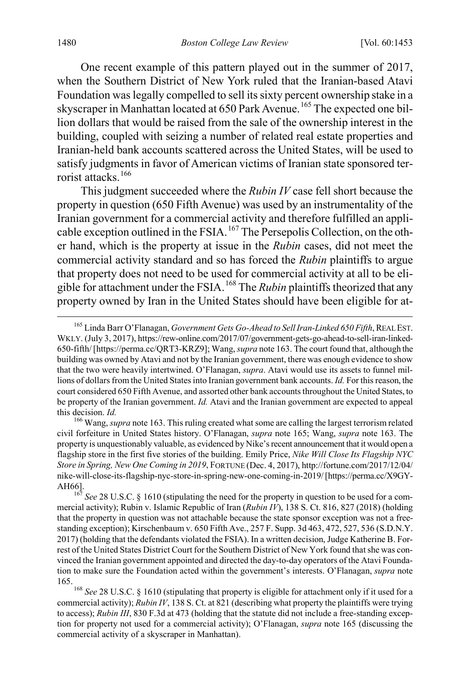<span id="page-28-0"></span>One recent example of this pattern played out in the summer of 2017, when the Southern District of New York ruled that the Iranian-based Atavi Foundation was legally compelled to sell its sixty percent ownership stake in a skyscraper in Manhattan located at 650 Park Avenue.<sup>[165](#page-28-1)</sup> The expected one billion dollars that would be raised from the sale of the ownership interest in the building, coupled with seizing a number of related real estate properties and Iranian-held bank accounts scattered across the United States, will be used to satisfy judgments in favor of American victims of Iranian state sponsored ter-rorist attacks.<sup>[166](#page-28-2)</sup>

This judgment succeeded where the *Rubin IV* case fell short because the property in question (650 Fifth Avenue) was used by an instrumentality of the Iranian government for a commercial activity and therefore fulfilled an appli-cable exception outlined in the FSIA.<sup>[167](#page-28-3)</sup> The Persepolis Collection, on the other hand, which is the property at issue in the *Rubin* cases, did not meet the commercial activity standard and so has forced the *Rubin* plaintiffs to argue that property does not need to be used for commercial activity at all to be eligible for attachment under the FSIA.[168](#page-28-4) The *Rubin* plaintiffs theorized that any property owned by Iran in the United States should have been eligible for at-

<span id="page-28-1"></span> <sup>165</sup> Linda Barr O'Flanagan, *Government Gets Go-Ahead to Sell Iran-Linked 650 Fifth*, REAL EST. WKLY. (July 3, 2017), https://rew-online.com/2017/07/government-gets-go-ahead-to-sell-iran-linked-650-fifth/ [https://perma.cc/QRT3-KRZ9]; Wang, *supra* not[e 163.](#page-27-0) The court found that, although the building was owned by Atavi and not by the Iranian government, there was enough evidence to show that the two were heavily intertwined. O'Flanagan, *supra*. Atavi would use its assets to funnel millions of dollars from the United States into Iranian government bank accounts. *Id.* For this reason, the court considered 650 Fifth Avenue, and assorted other bank accounts throughout the United States, to be property of the Iranian government. *Id.* Atavi and the Iranian government are expected to appeal

<span id="page-28-2"></span>this decision. *Id.* <sup>166</sup> Wang, *supra* not[e 163.](#page-27-0) This ruling created what some are calling the largest terrorism related civil forfeiture in United States history. O'Flanagan, *supra* note [165;](#page-28-0) Wang, *supra* note 163. The property is unquestionably valuable, as evidenced by Nike's recent announcement that it would open a flagship store in the first five stories of the building. Emily Price, *Nike Will Close Its Flagship NYC Store in Spring, New One Coming in 2019*, FORTUNE (Dec. 4, 2017), http://fortune.com/2017/12/04/ nike-will-close-its-flagship-nyc-store-in-spring-new-one-coming-in-2019/ [https://perma.cc/X9GY-AH66].<br><sup>167</sup> *See* 28 U.S.C. § 1610 (stipulating the need for the property in question to be used for a com-

<span id="page-28-3"></span>mercial activity); Rubin v. Islamic Republic of Iran (*Rubin IV*), 138 S. Ct. 816, 827 (2018) (holding that the property in question was not attachable because the state sponsor exception was not a freestanding exception); Kirschenbaum v. 650 Fifth Ave., 257 F. Supp. 3d 463, 472, 527, 536 (S.D.N.Y. 2017) (holding that the defendants violated the FSIA). In a written decision, Judge Katherine B. Forrest of the United States District Court for the Southern District of New York found that she was convinced the Iranian government appointed and directed the day-to-day operators of the Atavi Foundation to make sure the Foundation acted within the government's interests. O'Flanagan, *supra* note [165.](#page-28-0) 

<span id="page-28-4"></span><sup>168</sup> *See* 28 U.S.C. § 1610 (stipulating that property is eligible for attachment only if it used for a commercial activity); *Rubin IV*, 138 S. Ct. at 821 (describing what property the plaintiffs were trying to access); *Rubin III*, 830 F.3d at 473 (holding that the statute did not include a free-standing exception for property not used for a commercial activity); O'Flanagan, *supra* note [165](#page-28-0) (discussing the commercial activity of a skyscraper in Manhattan).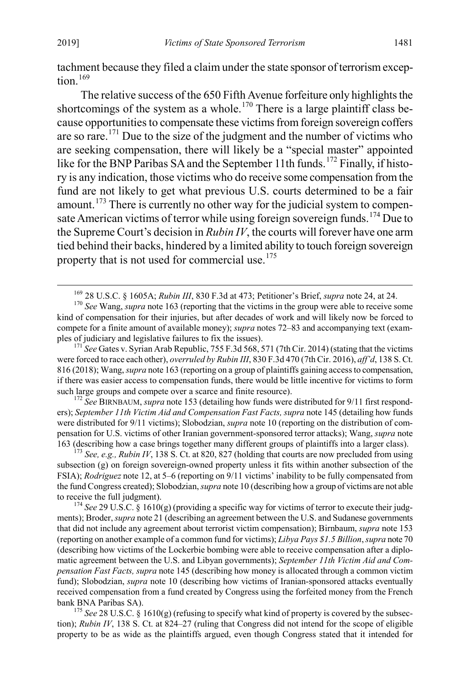tachment because they filed a claim under the state sponsor of terrorism excep-tion.<sup>[169](#page-29-1)</sup>

The relative success of the 650 Fifth Avenue forfeiture only highlights the shortcomings of the system as a whole.<sup>[170](#page-29-2)</sup> There is a large plaintiff class because opportunities to compensate these victims from foreign sovereign coffers are so rare.[171](#page-29-3) Due to the size of the judgment and the number of victims who are seeking compensation, there will likely be a "special master" appointed like for the BNP Paribas SA and the September 11th funds.<sup>[172](#page-29-4)</sup> Finally, if history is any indication, those victims who do receive some compensation from the fund are not likely to get what previous U.S. courts determined to be a fair amount.<sup>[173](#page-29-5)</sup> There is currently no other way for the judicial system to compen-sate American victims of terror while using foreign sovereign funds.<sup>[174](#page-29-6)</sup> Due to the Supreme Court's decision in *Rubin IV*, the courts will forever have one arm tied behind their backs, hindered by a limited ability to touch foreign sovereign property that is not used for commercial use.[175](#page-29-7)

<span id="page-29-3"></span>were forced to race each other), *overruled by Rubin III*, 830 F.3d 470 (7th Cir. 2016), *aff'd*, 138 S. Ct. 816 (2018); Wang, *supra* not[e 163](#page-27-0) (reporting on a group of plaintiffs gaining access to compensation, if there was easier access to compensation funds, there would be little incentive for victims to form such large groups and compete over a scarce and finite resource).<br><sup>172</sup> *See* BIRNBAUM, *supra* not[e 153](#page-25-8) (detailing how funds were distributed for 9/11 first respond-

<span id="page-29-4"></span>ers); *September 11th Victim Aid and Compensation Fast Facts, supra* not[e 145](#page-24-6) (detailing how funds were distributed for 9/11 victims); Slobodzian, *supra* note [10](#page-3-0) (reporting on the distribution of compensation for U.S. victims of other Iranian government-sponsored terror attacks); Wang, *supra* note [163](#page-27-0) (describing how a case brings together many different groups of plaintiffs into a larger class).

<span id="page-29-5"></span><sup>173</sup> *See, e.g., Rubin IV*, 138 S. Ct. at 820, 827 (holding that courts are now precluded from using subsection (g) on foreign sovereign-owned property unless it fits within another subsection of the FSIA); *Rodriguez* note [12,](#page-3-6) at 5–6 (reporting on 9/11 victims' inability to be fully compensated from the fund Congress created); Slobodzian, *supra* not[e 10](#page-3-0) (describing how a group of victims are not able to receive the full judgment).<br><sup>174</sup> *See* 29 U.S.C. § 1610(g) (providing a specific way for victims of terror to execute their judg-

<span id="page-29-6"></span>ments); Broder, *supra* not[e 21](#page-5-4) (describing an agreement between the U.S. and Sudanese governments that did not include any agreement about terrorist victim compensation); Birnbaum, *supra* note 153 (reporting on another example of a common fund for victims); *Libya Pays \$1.5 Billion*, *supra* not[e 70](#page-13-1) (describing how victims of the Lockerbie bombing were able to receive compensation after a diplomatic agreement between the U.S. and Libyan governments); *September 11th Victim Aid and Compensation Fast Facts, supra* not[e 145](#page-24-6) (describing how money is allocated through a common victim fund); Slobodzian, *supra* note [10](#page-3-0) (describing how victims of Iranian-sponsored attacks eventually received compensation from a fund created by Congress using the forfeited money from the French bank BNA Paribas SA).<br><sup>175</sup> *See* 28 U.S.C. § 1610(g) (refusing to specify what kind of property is covered by the subsec-

<span id="page-29-7"></span>tion); *Rubin IV*, 138 S. Ct. at 824–27 (ruling that Congress did not intend for the scope of eligible property to be as wide as the plaintiffs argued, even though Congress stated that it intended for

<span id="page-29-0"></span>

<span id="page-29-2"></span><span id="page-29-1"></span><sup>&</sup>lt;sup>169</sup> 28 U.S.C. § 1605A; *Rubin III*, 830 F.3d at 473; Petitioner's Brief, *supra* not[e 24,](#page-6-7) at 24. <sup>170</sup> *See* Wang, *supra* not[e 163](#page-27-0) (reporting that the victims in the group were able to receive some kind of compensation for their injuries, but after decades of work and will likely now be forced to compete for a finite amount of available money); *supra* note[s 72](#page-14-10)[–83](#page-15-1) and accompanying text (examples of judiciary and legislative failures to fix the issues). <sup>171</sup> *See* Gates v. Syrian Arab Republic, 755 F.3d 568, 571 (7th Cir. 2014) (stating that the victims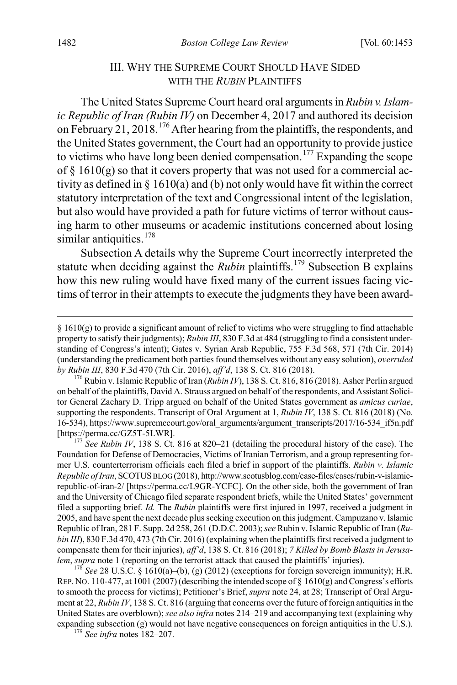#### <span id="page-30-1"></span><span id="page-30-0"></span>III. WHY THE SUPREME COURT SHOULD HAVE SIDED WITH THE *RUBIN* PLAINTIFFS

The United States Supreme Court heard oral arguments in *Rubin v. Islamic Republic of Iran (Rubin IV)* on December 4, 2017 and authored its decision on February 21, 2018.<sup>[176](#page-30-2)</sup> After hearing from the plaintiffs, the respondents, and the United States government, the Court had an opportunity to provide justice to victims who have long been denied compensation.<sup>[177](#page-30-3)</sup> Expanding the scope of  $\S$  1610(g) so that it covers property that was not used for a commercial activity as defined in § 1610(a) and (b) not only would have fit within the correct statutory interpretation of the text and Congressional intent of the legislation, but also would have provided a path for future victims of terror without causing harm to other museums or academic institutions concerned about losing similar antiquities.<sup>[178](#page-30-4)</sup>

Subsection A details why the Supreme Court incorrectly interpreted the statute when deciding against the *Rubin* plaintiffs.<sup>[179](#page-30-5)</sup> Subsection B explains how this new ruling would have fixed many of the current issues facing victims of terror in their attempts to execute the judgments they have been award-

<span id="page-30-4"></span>REP. NO. 110-477, at 1001 (2007) (describing the intended scope of  $\S$  1610(g) and Congress's efforts to smooth the process for victims); Petitioner's Brief, *supra* not[e 24,](#page-6-7) at 28; Transcript of Oral Argument at 22, *Rubin IV*, 138 S. Ct. 816 (arguing that concerns over the future of foreign antiquities in the United States are overblown); *see also infra* note[s 214](#page-37-0)[–219](#page-38-0) and accompanying text (explaining why expanding subsection (g) would not have negative consequences on foreign antiquities in the U.S.). <sup>179</sup> *See infra* notes [182–](#page-31-0)207.

<span id="page-30-5"></span>

 <sup>§ 1610(</sup>g) to provide a significant amount of relief to victims who were struggling to find attachable property to satisfy their judgments); *Rubin III*, 830 F.3d at 484 (struggling to find a consistent understanding of Congress's intent); Gates v. Syrian Arab Republic, 755 F.3d 568, 571 (7th Cir. 2014) (understanding the predicament both parties found themselves without any easy solution), *overruled by Rubin III*, 830 F.3d 470 (7th Cir. 2016), *aff'd*, 138 S. Ct. 816 (2018).<br><sup>176</sup> Rubin v. Islamic Republic of Iran (*Rubin IV*), 138 S. Ct. 816, 816 (2018). Asher Perlin argued

<span id="page-30-2"></span>on behalf of the plaintiffs, David A. Strauss argued on behalf of the respondents, and Assistant Solicitor General Zachary D. Tripp argued on behalf of the United States government as *amicus curiae*, supporting the respondents. Transcript of Oral Argument at 1, *Rubin IV*, 138 S. Ct. 816 (2018) (No. 16-534), https://www.supremecourt.gov/oral\_arguments/argument\_transcripts/2017/16-534\_if5n.pdf

<span id="page-30-3"></span><sup>[</sup>https://perma.cc/GZ5T-5LWR]. <sup>177</sup> *See Rubin IV*, 138 S. Ct. 816 at 820–21 (detailing the procedural history of the case). The Foundation for Defense of Democracies, Victims of Iranian Terrorism, and a group representing former U.S. counterterrorism officials each filed a brief in support of the plaintiffs. *Rubin v. Islamic Republic of Iran*, SCOTUSBLOG (2018), http://www.scotusblog.com/case-files/cases/rubin-v-islamicrepublic-of-iran-2/ [https://perma.cc/L9GR-YCFC]. On the other side, both the government of Iran and the University of Chicago filed separate respondent briefs, while the United States' government filed a supporting brief. *Id.* The *Rubin* plaintiffs were first injured in 1997, received a judgment in 2005, and have spent the next decade plus seeking execution on this judgment. Campuzano v. Islamic Republic of Iran, 281 F. Supp. 2d 258, 261 (D.D.C. 2003); *see* Rubin v. Islamic Republic of Iran (*Rubin III*), 830 F.3d 470, 473 (7th Cir. 2016) (explaining when the plaintiffs first received a judgment to compensate them for their injuries), *aff'd*, 138 S. Ct. 816 (2018); *7 Killed by Bomb Blasts in Jerusalem*, *supra* note 1 (reporting on the terrorist attack that caused the plaintiffs' injuries). <sup>178</sup> *See* 28 U.S.C. § 1610(a)–(b), (g) (2012) (exceptions for foreign sovereign immunity); H.R.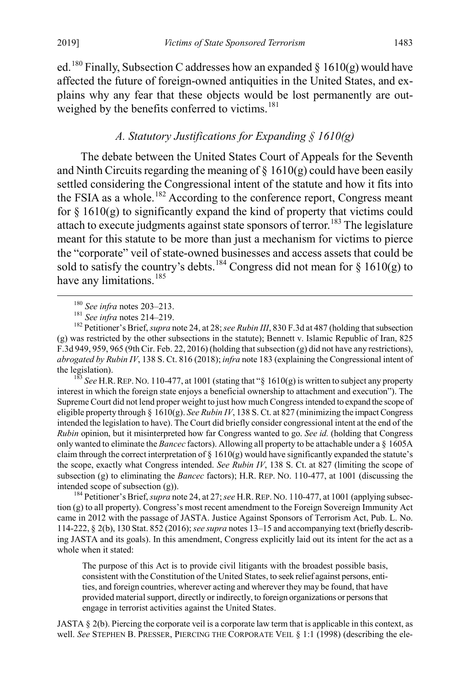ed.<sup>[180](#page-31-2)</sup> Finally, Subsection C addresses how an expanded  $\S$  1610(g) would have affected the future of foreign-owned antiquities in the United States, and explains why any fear that these objects would be lost permanently are out-weighed by the benefits conferred to victims.<sup>[181](#page-31-3)</sup>

#### <span id="page-31-1"></span><span id="page-31-0"></span>*A. Statutory Justifications for Expanding § 1610(g)*

The debate between the United States Court of Appeals for the Seventh and Ninth Circuits regarding the meaning of  $\S$  1610(g) could have been easily settled considering the Congressional intent of the statute and how it fits into the FSIA as a whole.<sup>[182](#page-31-4)</sup> According to the conference report, Congress meant for  $\S 1610(g)$  to significantly expand the kind of property that victims could attach to execute judgments against state sponsors of terror.<sup>[183](#page-31-5)</sup> The legislature meant for this statute to be more than just a mechanism for victims to pierce the "corporate" veil of state-owned businesses and access assets that could be sold to satisfy the country's debts.<sup>[184](#page-31-6)</sup> Congress did not mean for § 1610(g) to have any limitations.<sup>[185](#page-31-3)</sup>

<span id="page-31-5"></span>interest in which the foreign state enjoys a beneficial ownership to attachment and execution"). The Supreme Court did not lend proper weight to just how much Congress intended to expand the scope of eligible property through § 1610(g). *See Rubin IV*, 138 S. Ct. at 827 (minimizing the impact Congress intended the legislation to have). The Court did briefly consider congressional intent at the end of the *Rubin* opinion, but it misinterpreted how far Congress wanted to go. *See id.* (holding that Congress only wanted to eliminate the *Bancec* factors). Allowing all property to be attachable under a § 1605A claim through the correct interpretation of  $\S$  1610(g) would have significantly expanded the statute's the scope, exactly what Congress intended. *See Rubin IV*, 138 S. Ct. at 827 (limiting the scope of subsection (g) to eliminating the *Bancec* factors); H.R. REP. NO. 110-477, at 1001 (discussing the

<span id="page-31-6"></span>intended scope of subsection (g)).<br><sup>184</sup> Petitioner's Brief, *supra* not[e 24,](#page-6-7) at 27; *see* H.R. REP. NO. 110-477, at 1001 (applying subsection (g) to all property). Congress's most recent amendment to the Foreign Sovereign Immunity Act came in 2012 with the passage of JASTA. Justice Against Sponsors of Terrorism Act, Pub. L. No. 114-222, § 2(b), 130 Stat. 852 (2016); *see supra* note[s 13](#page-4-0)[–15](#page-4-7) and accompanying text (briefly describing JASTA and its goals). In this amendment, Congress explicitly laid out its intent for the act as a whole when it stated:

The purpose of this Act is to provide civil litigants with the broadest possible basis, consistent with the Constitution of the United States, to seek relief against persons, entities, and foreign countries, wherever acting and wherever they may be found, that have provided material support, directly or indirectly, to foreign organizations or persons that engage in terrorist activities against the United States.

JASTA § 2(b). Piercing the corporate veil is a corporate law term that is applicable in this context, as well. *See* STEPHEN B. PRESSER, PIERCING THE CORPORATE VEIL § 1:1 (1998) (describing the ele-

<span id="page-31-4"></span><span id="page-31-3"></span><span id="page-31-2"></span><sup>&</sup>lt;sup>180</sup> *See infra* notes [203–](#page-35-0)213.<br><sup>181</sup> *See infra* notes [214–](#page-37-0)219.<br><sup>182</sup> Petitioner's Brief, *supra* not[e 24,](#page-6-7) at 28; *see Rubin III*, 830 F.3d at 487 (holding that subsection (g) was restricted by the other subsections in the statute); Bennett v. Islamic Republic of Iran, 825 F.3d 949, 959, 965 (9th Cir. Feb. 22, 2016) (holding that subsection (g) did not have any restrictions), *abrogated by Rubin IV*, 138 S. Ct. 816 (2018); *infra* not[e 183](#page-31-1) (explaining the Congressional intent of the legislation).<br><sup>183</sup> *See* H.R. REP. NO. 110-477, at 1001 (stating that "§ 1610(g) is written to subject any property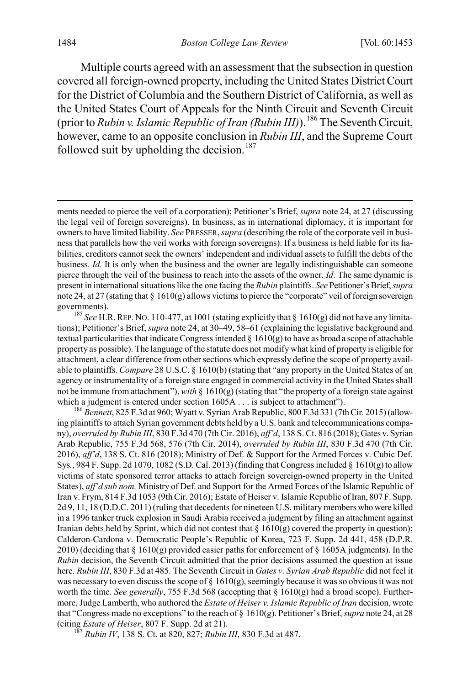Multiple courts agreed with an assessment that the subsection in question covered all foreign-owned property, including the United States District Court for the District of Columbia and the Southern District of California, as well as the United States Court of Appeals for the Ninth Circuit and Seventh Circuit (prior to *Rubin v. Islamic Republic of Iran (Rubin III)*).[186](#page-32-0) The Seventh Circuit, however, came to an opposite conclusion in *Rubin III*, and the Supreme Court followed suit by upholding the decision.<sup>[187](#page-32-1)</sup>

governments).<br><sup>185</sup> *See* H.R. REP. NO. 110-477, at 1001 (stating explicitly that § 1610(g) did not have any limitations); Petitioner's Brief, *supra* not[e 24,](#page-6-7) at 30–49, 58–61 (explaining the legislative background and textual particularities that indicate Congress intended  $\S 1610(g)$  to have as broad a scope of attachable property as possible). The language of the statute does not modify what kind of property is eligible for attachment, a clear difference from other sections which expressly define the scope of property available to plaintiffs. *Compare* 28 U.S.C. § 1610(b) (stating that "any property in the United States of an agency or instrumentality of a foreign state engaged in commercial activity in the United States shall not be immune from attachment"), with  $\S$  1610(g) (stating that "the property of a foreign state against which a judgment is entered under section 1605A . . . is subject to attachment").<br><sup>186</sup> *Bennett*, 825 F.3d at 960; Wyatt v. Syrian Arab Republic, 800 F.3d 331 (7th Cir. 2015) (allow-

<span id="page-32-0"></span>ing plaintiffs to attach Syrian government debts held by a U.S. bank and telecommunications company), *overruled by Rubin III*, 830 F.3d 470 (7th Cir. 2016), *aff'd*, 138 S. Ct. 816 (2018); Gates v. Syrian Arab Republic, 755 F.3d 568, 576 (7th Cir. 2014), *overruled by Rubin III*, 830 F.3d 470 (7th Cir. 2016), *aff'd*, 138 S. Ct. 816 (2018); Ministry of Def. & Support for the Armed Forces v. Cubic Def. Sys*.*, 984 F. Supp. 2d 1070, 1082 (S.D. Cal. 2013) (finding that Congress included § 1610(g) to allow victims of state sponsored terror attacks to attach foreign sovereign-owned property in the United States), *aff'd sub nom.* Ministry of Def. and Support for the Armed Forces of the Islamic Republic of Iran v. Frym, 814 F.3d 1053 (9th Cir. 2016); Estate of Heiser v. Islamic Republic of Iran, 807 F. Supp. 2d 9, 11, 18 (D.D.C. 2011) (ruling that decedents for nineteen U.S. military members who were killed in a 1996 tanker truck explosion in Saudi Arabia received a judgment by filing an attachment against Iranian debts held by Sprint, which did not contest that  $\S$  1610(g) covered the property in question); Calderon-Cardona v. Democratic People's Republic of Korea, 723 F. Supp. 2d 441, 458 (D.P.R. 2010) (deciding that § 1610(g) provided easier paths for enforcement of § 1605A judgments). In the *Rubin* decision, the Seventh Circuit admitted that the prior decisions assumed the question at issue here. *Rubin III*, 830 F.3d at 485. The Seventh Circuit in *Gates v. Syrian Arab Republic* did not feel it was necessary to even discuss the scope of  $\S$  1610(g), seemingly because it was so obvious it was not worth the time. *See generally*, 755 F.3d 568 (accepting that § 1610(g) had a broad scope). Furthermore, Judge Lamberth, who authored the *Estate of Heiser v. Islamic Republic of Iran* decision, wrote that "Congress made no exceptions" to the reach of § 1610(g). Petitioner's Brief, *supra* not[e 24,](#page-6-7) at 28 (citing *Estate of Heiser*, 807 F. Supp. 2d at 21). <sup>187</sup> *Rubin IV*, 138 S. Ct. at 820, 827; *Rubin III*, 830 F.3d at 487.

<span id="page-32-1"></span>

ments needed to pierce the veil of a corporation); Petitioner's Brief, *supra* not[e 24,](#page-6-7) at 27 (discussing the legal veil of foreign sovereigns). In business, as in international diplomacy, it is important for owners to have limited liability. *See* PRESSER, *supra* (describing the role of the corporate veil in business that parallels how the veil works with foreign sovereigns). If a business is held liable for its liabilities, creditors cannot seek the owners' independent and individual assets to fulfill the debts of the business. *Id.* It is only when the business and the owner are legally indistinguishable can someone pierce through the veil of the business to reach into the assets of the owner. *Id.* The same dynamic is present in international situations like the one facing the *Rubin* plaintiffs. *See* Petitioner's Brief, *supra*  not[e 24,](#page-6-7) at 27 (stating that § 1610(g) allows victims to pierce the "corporate" veil of foreign sovereign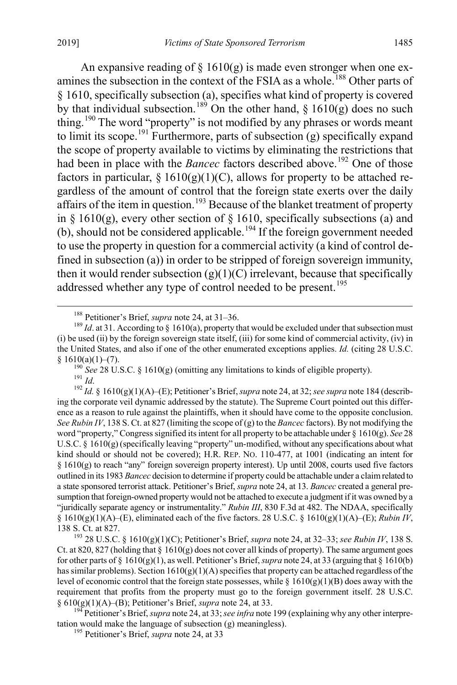An expansive reading of  $\S$  1610(g) is made even stronger when one ex-amines the subsection in the context of the FSIA as a whole.<sup>[188](#page-33-0)</sup> Other parts of § 1610, specifically subsection (a), specifies what kind of property is covered by that individual subsection.<sup>[189](#page-33-1)</sup> On the other hand,  $\S$  1610(g) does no such thing.<sup>[190](#page-33-2)</sup> The word "property" is not modified by any phrases or words meant to limit its scope.<sup>191</sup> Furthermore, parts of subsection (g) specifically expand the scope of property available to victims by eliminating the restrictions that had been in place with the *Bancec* factors described above.<sup>[192](#page-33-4)</sup> One of those factors in particular,  $\S 1610(g)(1)(C)$ , allows for property to be attached regardless of the amount of control that the foreign state exerts over the daily affairs of the item in question.<sup>[193](#page-33-5)</sup> Because of the blanket treatment of property in § 1610(g), every other section of § 1610, specifically subsections (a) and (b), should not be considered applicable.<sup>[194](#page-33-6)</sup> If the foreign government needed to use the property in question for a commercial activity (a kind of control defined in subsection (a)) in order to be stripped of foreign sovereign immunity, then it would render subsection  $(g)(1)(C)$  irrelevant, because that specifically addressed whether any type of control needed to be present.<sup>[195](#page-33-7)</sup>

<span id="page-33-4"></span><span id="page-33-3"></span><span id="page-33-2"></span>§ 1610(a)(1)–(7).<br><sup>190</sup> *See* 28 U.S.C. § 1610(g) (omitting any limitations to kinds of eligible property).<br><sup>191</sup> *Id.*<br><sup>192</sup> *Id.* § 1610(g)(1)(A)–(E); Petitioner's Brief, *supra* not[e 24,](#page-6-7) at 32; *see supra* note 184 (de ing the corporate veil dynamic addressed by the statute). The Supreme Court pointed out this difference as a reason to rule against the plaintiffs, when it should have come to the opposite conclusion. *See Rubin IV*, 138 S. Ct. at 827 (limiting the scope of (g) to the *Bancec* factors). By not modifying the word "property," Congress signified its intent for all property to be attachable under § 1610(g). *See* 28 U.S.C. § 1610(g) (specifically leaving "property" un-modified, without any specifications about what kind should or should not be covered); H.R. REP. NO. 110-477, at 1001 (indicating an intent for § 1610(g) to reach "any" foreign sovereign property interest). Up until 2008, courts used five factors outlined in its 1983 *Bancec* decision to determine if property could be attachable under a claim related to a state sponsored terrorist attack. Petitioner's Brief, *supra* not[e 24,](#page-6-7) at 13. *Bancec* created a general presumption that foreign-owned property would not be attached to execute a judgment if it was owned by a "juridically separate agency or instrumentality." *Rubin III*, 830 F.3d at 482. The NDAA, specifically §  $1610(g)(1)(A)$ –(E), eliminated each of the five factors. 28 U.S.C. §  $1610(g)(1)(A)$ –(E); *Rubin IV*,

<span id="page-33-5"></span>138 S. Ct. at 827. <sup>193</sup> 28 U.S.C. § 1610(g)(1)(C); Petitioner's Brief, *supra* not[e 24,](#page-6-7) at 32–33; *see Rubin IV*, 138 S. Ct. at 820, 827 (holding that  $\S 1610(g)$  does not cover all kinds of property). The same argument goes for other parts of  $\S 1610(g)(1)$ , as well. Petitioner's Brief, *supra* not[e 24,](#page-6-7) at 33 (arguing that  $\S 1610(b)$ ) has similar problems). Section  $1610(g)(1)(A)$  specifies that property can be attached regardless of the level of economic control that the foreign state possesses, while  $\S 1610(g)(1)(B)$  does away with the requirement that profits from the property must go to the foreign government itself. 28 U.S.C. § 610(g)(1)(A)–(B); Petitioner's Brief, *supra* note [24,](#page-6-7) at 33. <sup>194</sup> Petitioner's Brief, *supra* not[e 24,](#page-6-7) at 33; *see infra* not[e 199](#page-34-0) (explaining why any other interpre-

<span id="page-33-7"></span><span id="page-33-6"></span>tation would make the language of subsection (g) meaningless). <sup>195</sup> Petitioner's Brief, *supra* not[e 24,](#page-6-7) at 33

<span id="page-33-1"></span><span id="page-33-0"></span><sup>&</sup>lt;sup>188</sup> Petitioner's Brief, *supra* not[e 24,](#page-6-7) at 31–36.<br><sup>189</sup> *Id*. at 31. According to § 1610(a), property that would be excluded under that subsection must (i) be used (ii) by the foreign sovereign state itself, (iii) for some kind of commercial activity, (iv) in the United States, and also if one of the other enumerated exceptions applies. *Id.* (citing 28 U.S.C.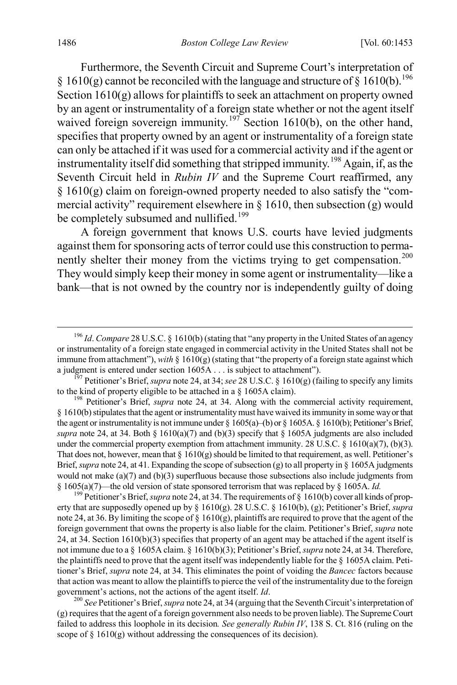Furthermore, the Seventh Circuit and Supreme Court's interpretation of  $\S$  1610(g) cannot be reconciled with the language and structure of  $\S$  1610(b).<sup>[196](#page-34-1)</sup> Section  $1610(g)$  allows for plaintiffs to seek an attachment on property owned by an agent or instrumentality of a foreign state whether or not the agent itself waived foreign sovereign immunity.<sup>[197](#page-34-2)</sup> Section 1610(b), on the other hand, specifies that property owned by an agent or instrumentality of a foreign state can only be attached if it was used for a commercial activity and if the agent or instrumentality itself did something that stripped immunity.<sup>[198](#page-34-3)</sup> Again, if, as the Seventh Circuit held in *Rubin IV* and the Supreme Court reaffirmed, any  $§ 1610(g)$  claim on foreign-owned property needed to also satisfy the "commercial activity" requirement elsewhere in  $\S$  1610, then subsection (g) would be completely subsumed and nullified.<sup>[199](#page-34-4)</sup>

<span id="page-34-6"></span><span id="page-34-0"></span>A foreign government that knows U.S. courts have levied judgments against them for sponsoring acts of terror could use this construction to perma-nently shelter their money from the victims trying to get compensation.<sup>[200](#page-34-5)</sup> They would simply keep their money in some agent or instrumentality—like a bank—that is not owned by the country nor is independently guilty of doing

<span id="page-34-4"></span>erty that are supposedly opened up by § 1610(g). 28 U.S.C. § 1610(b), (g); Petitioner's Brief, *supra*  not[e 24,](#page-6-7) at 36. By limiting the scope of  $\S$  1610(g), plaintiffs are required to prove that the agent of the foreign government that owns the property is also liable for the claim. Petitioner's Brief, *supra* note [24,](#page-6-7) at 34. Section 1610(b)(3) specifies that property of an agent may be attached if the agent itself is not immune due to a § 1605A claim. § 1610(b)(3); Petitioner's Brief, *supra* not[e 24,](#page-6-7) at 34. Therefore, the plaintiffs need to prove that the agent itself was independently liable for the § 1605A claim. Petitioner's Brief, *supra* note [24,](#page-6-7) at 34. This eliminates the point of voiding the *Bancec* factors because that action was meant to allow the plaintiffs to pierce the veil of the instrumentality due to the foreign government's actions, not the actions of the agent itself. *Id*.<br><sup>200</sup> *See* Petitioner's Brief, *supra* not[e 24,](#page-6-7) at 34 (arguing that the Seventh Circuit's interpretation of

<span id="page-34-5"></span>(g) requires that the agent of a foreign government also needs to be proven liable). The Supreme Court failed to address this loophole in its decision*. See generally Rubin IV*, 138 S. Ct. 816 (ruling on the scope of  $\S 1610(g)$  without addressing the consequences of its decision).

<span id="page-34-1"></span> <sup>196</sup> *Id*. *Compare* 28 U.S.C. § 1610(b) (stating that "any property in the United States of an agency or instrumentality of a foreign state engaged in commercial activity in the United States shall not be immune from attachment"), *with* §  $1610(g)$  (stating that "the property of a foreign state against which a judgment is entered under section  $1605A...$  is subject to attachment").

<span id="page-34-2"></span><sup>&</sup>lt;sup>157</sup> Petitioner's Brief, *supra* not[e 24,](#page-6-7) at 34; *see* 28 U.S.C. § 1610(g) (failing to specify any limits to the kind of property eligible to be attached in a § 1605A claim).

<span id="page-34-3"></span><sup>&</sup>lt;sup>198</sup> Petitioner's Brief, *supra* note [24,](#page-6-7) at 34. Along with the commercial activity requirement, § 1610(b) stipulates that the agent or instrumentality must have waived its immunity in some way or that the agent or instrumentality is not immune under § 1605(a)–(b) or § 1605A. § 1610(b); Petitioner's Brief, *supra* note [24,](#page-6-7) at 34. Both §  $1610(a)(7)$  and (b)(3) specify that § 1605A judgments are also included under the commercial property exemption from attachment immunity. 28 U.S.C.  $\S$  1610(a)(7), (b)(3). That does not, however, mean that  $\S 1610(g)$  should be limited to that requirement, as well. Petitioner's Brief, *supra* not[e 24,](#page-6-7) at 41. Expanding the scope of subsection (g) to all property in § 1605A judgments would not make  $(a)(7)$  and  $(b)(3)$  superfluous because those subsections also include judgments from § 1605(a)(7)—the old version of state sponsored terrorism that was replaced by § 1605A. *Id.* <sup>199</sup> Petitioner's Brief, *supra* not[e 24,](#page-6-7) at 34. The requirements of § 1610(b) cover all kinds of prop-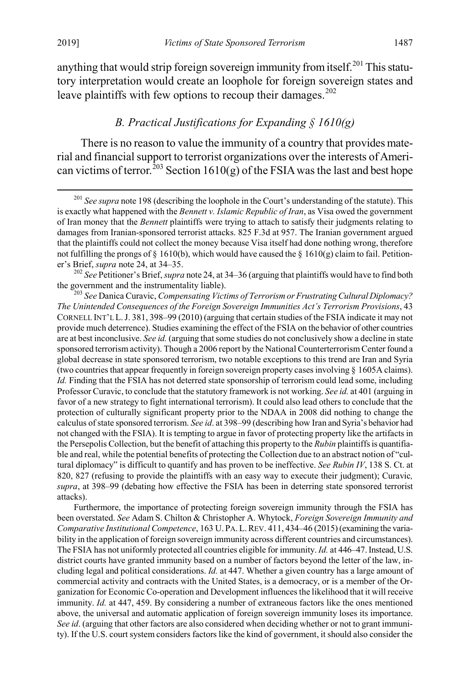anything that would strip foreign sovereign immunity from itself.<sup>[201](#page-35-1)</sup> This statutory interpretation would create an loophole for foreign sovereign states and leave plaintiffs with few options to recoup their damages.<sup>[202](#page-35-2)</sup>

#### <span id="page-35-0"></span>*B. Practical Justifications for Expanding § 1610(g)*

There is no reason to value the immunity of a country that provides material and financial support to terrorist organizations over the interests of Ameri-can victims of terror.<sup>[203](#page-35-3)</sup> Section 1610(g) of the FSIA was the last and best hope

<span id="page-35-2"></span>er's Brief, *supra* note [24,](#page-6-7) at 34–35.<br><sup>202</sup> *See* Petitioner's Brief, *supra* not[e 24,](#page-6-7) at 34–36 (arguing that plaintiffs would have to find both the government and the instrumentality liable).

<span id="page-35-3"></span><sup>203</sup> See Danica Curavic, *Compensating Victims of Terrorism or Frustrating Cultural Diplomacy? The Unintended Consequences of the Foreign Sovereign Immunities Act's Terrorism Provisions*, 43 CORNELL INT'L L.J. 381, 398–99 (2010) (arguing that certain studies of the FSIA indicate it may not provide much deterrence). Studies examining the effect of the FSIA on the behavior of other countries are at best inconclusive. *See id.* (arguing that some studies do not conclusively show a decline in state sponsored terrorism activity). Though a 2006 report by the National Counterterrorism Center found a global decrease in state sponsored terrorism, two notable exceptions to this trend are Iran and Syria (two countries that appear frequently in foreign sovereign property cases involving § 1605A claims). *Id.* Finding that the FSIA has not deterred state sponsorship of terrorism could lead some, including Professor Curavic, to conclude that the statutory framework is not working. *See id.* at 401 (arguing in favor of a new strategy to fight international terrorism). It could also lead others to conclude that the protection of culturally significant property prior to the NDAA in 2008 did nothing to change the calculus of state sponsored terrorism. *See id*. at 398–99 (describing how Iran and Syria's behavior had not changed with the FSIA). It is tempting to argue in favor of protecting property like the artifacts in the Persepolis Collection, but the benefit of attaching this property to the *Rubin* plaintiffs is quantifiable and real, while the potential benefits of protecting the Collection due to an abstract notion of "cultural diplomacy" is difficult to quantify and has proven to be ineffective. *See Rubin IV*, 138 S. Ct. at 820, 827 (refusing to provide the plaintiffs with an easy way to execute their judgment); Curavic*, supra*, at 398–99 (debating how effective the FSIA has been in deterring state sponsored terrorist attacks).

Furthermore, the importance of protecting foreign sovereign immunity through the FSIA has been overstated. *See* Adam S. Chilton & Christopher A. Whytock, *Foreign Sovereign Immunity and Comparative Institutional Competence*, 163 U. PA. L.REV. 411, 434–46 (2015) (examining the variability in the application of foreign sovereign immunity across different countries and circumstances). The FSIA has not uniformly protected all countries eligible for immunity. *Id.* at 446–47. Instead, U.S. district courts have granted immunity based on a number of factors beyond the letter of the law, including legal and political considerations. *Id.* at 447. Whether a given country has a large amount of commercial activity and contracts with the United States, is a democracy, or is a member of the Organization for Economic Co-operation and Development influences the likelihood that it will receive immunity. *Id.* at 447, 459. By considering a number of extraneous factors like the ones mentioned above, the universal and automatic application of foreign sovereign immunity loses its importance. *See id*. (arguing that other factors are also considered when deciding whether or not to grant immunity). If the U.S. court system considers factors like the kind of government, it should also consider the

<span id="page-35-1"></span><sup>&</sup>lt;sup>201</sup> See supra not[e 198](#page-34-6) (describing the loophole in the Court's understanding of the statute). This is exactly what happened with the *Bennett v. Islamic Republic of Iran*, as Visa owed the government of Iran money that the *Bennett* plaintiffs were trying to attach to satisfy their judgments relating to damages from Iranian-sponsored terrorist attacks. 825 F.3d at 957. The Iranian government argued that the plaintiffs could not collect the money because Visa itself had done nothing wrong, therefore not fulfilling the prongs of § 1610(b), which would have caused the § 1610(g) claim to fail. Petition-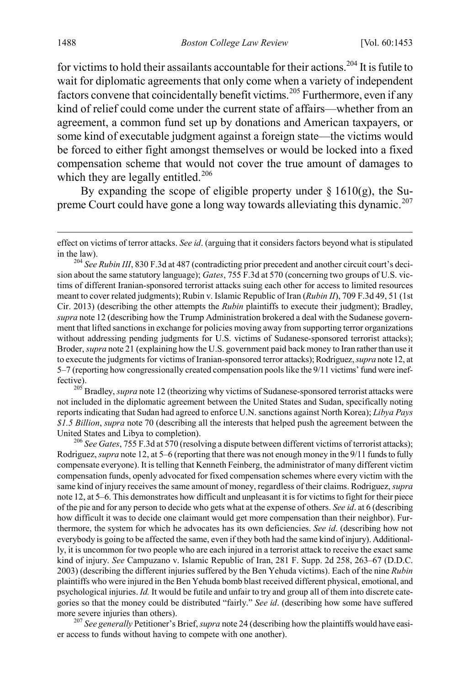for victims to hold their assailants accountable for their actions.<sup>[204](#page-36-0)</sup> It is futile to wait for diplomatic agreements that only come when a variety of independent factors convene that coincidentally benefit victims.<sup>[205](#page-36-1)</sup> Furthermore, even if any kind of relief could come under the current state of affairs—whether from an agreement, a common fund set up by donations and American taxpayers, or some kind of executable judgment against a foreign state—the victims would be forced to either fight amongst themselves or would be locked into a fixed compensation scheme that would not cover the true amount of damages to which they are legally entitled.<sup>[206](#page-36-2)</sup>

By expanding the scope of eligible property under  $\S 1610(g)$ , the Su-preme Court could have gone a long way towards alleviating this dynamic.<sup>[207](#page-36-3)</sup>

<span id="page-36-1"></span>fective). <sup>205</sup> Bradley, *supra* not[e 12](#page-3-6) (theorizing why victims of Sudanese-sponsored terrorist attacks were not included in the diplomatic agreement between the United States and Sudan, specifically noting reports indicating that Sudan had agreed to enforce U.N. sanctions against North Korea); *Libya Pays \$1.5 Billion*, *supra* not[e 70](#page-13-1) (describing all the interests that helped push the agreement between the United States and Libya to completion). <sup>206</sup> *See Gates*, 755 F.3d at 570 (resolving a dispute between different victims of terrorist attacks);

<span id="page-36-2"></span>Rodriguez, *supra* not[e 12,](#page-3-6) at 5–6 (reporting that there was not enough money in the 9/11 funds to fully compensate everyone). It is telling that Kenneth Feinberg, the administrator of many different victim compensation funds, openly advocated for fixed compensation schemes where every victim with the same kind of injury receives the same amount of money, regardless of their claims. Rodriguez, *supra* not[e 12,](#page-3-6) at 5–6. This demonstrates how difficult and unpleasant it is for victims to fight for their piece of the pie and for any person to decide who gets what at the expense of others. *See id*. at 6 (describing how difficult it was to decide one claimant would get more compensation than their neighbor). Furthermore, the system for which he advocates has its own deficiencies. *See id*. (describing how not everybody is going to be affected the same, even if they both had the same kind of injury). Additionally, it is uncommon for two people who are each injured in a terrorist attack to receive the exact same kind of injury. *See* Campuzano v. Islamic Republic of Iran, 281 F. Supp. 2d 258, 263–67 (D.D.C. 2003) (describing the different injuries suffered by the Ben Yehuda victims). Each of the nine *Rubin* plaintiffs who were injured in the Ben Yehuda bomb blast received different physical, emotional, and psychological injuries. *Id.* It would be futile and unfair to try and group all of them into discrete categories so that the money could be distributed "fairly." *See id*. (describing how some have suffered more severe injuries than others). <sup>207</sup> *See generally* Petitioner's Brief, *supra* not[e 24](#page-6-7) (describing how the plaintiffs would have easi-

<span id="page-36-3"></span>er access to funds without having to compete with one another).

effect on victims of terror attacks. *See id*. (arguing that it considers factors beyond what is stipulated

<span id="page-36-0"></span>in the law). <sup>204</sup> *See Rubin III*, 830 F.3d at 487 (contradicting prior precedent and another circuit court's decision about the same statutory language); *Gates*, 755 F.3d at 570 (concerning two groups of U.S. victims of different Iranian-sponsored terrorist attacks suing each other for access to limited resources meant to cover related judgments); Rubin v. Islamic Republic of Iran (*Rubin II*), 709 F.3d 49, 51 (1st Cir. 2013) (describing the other attempts the *Rubin* plaintiffs to execute their judgment); Bradley, *supra* not[e 12](#page-3-6) (describing how the Trump Administration brokered a deal with the Sudanese government that lifted sanctions in exchange for policies moving away from supporting terror organizations without addressing pending judgments for U.S. victims of Sudanese-sponsored terrorist attacks); Broder, *supra* not[e 21](#page-5-4) (explaining how the U.S. government paid back money to Iran rather than use it to execute the judgments for victims of Iranian-sponsored terror attacks); Rodriguez, *supra* not[e 12,](#page-3-6) at 5–7 (reporting how congressionally created compensation pools like the 9/11 victims' fund were inef-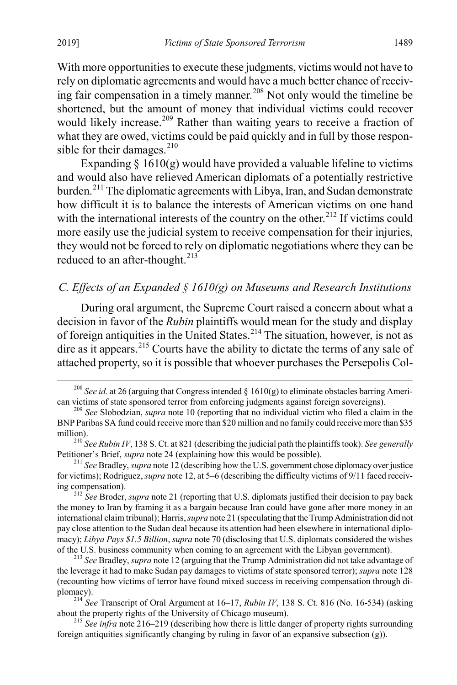With more opportunities to execute these judgments, victims would not have to rely on diplomatic agreements and would have a much better chance of receiv-ing fair compensation in a timely manner.<sup>[208](#page-37-2)</sup> Not only would the timeline be shortened, but the amount of money that individual victims could recover would likely increase.<sup>[209](#page-37-3)</sup> Rather than waiting years to receive a fraction of what they are owed, victims could be paid quickly and in full by those responsible for their damages. $^{210}$  $^{210}$  $^{210}$ 

Expanding  $\S 1610(g)$  would have provided a valuable lifeline to victims and would also have relieved American diplomats of a potentially restrictive burden.<sup>[211](#page-37-5)</sup> The diplomatic agreements with Libya, Iran, and Sudan demonstrate how difficult it is to balance the interests of American victims on one hand with the international interests of the country on the other.<sup>[212](#page-37-6)</sup> If victims could more easily use the judicial system to receive compensation for their injuries, they would not be forced to rely on diplomatic negotiations where they can be reduced to an after-thought. $^{213}$  $^{213}$  $^{213}$ 

### <span id="page-37-1"></span>*C. Effects of an Expanded § 1610(g) on Museums and Research Institutions*

<span id="page-37-0"></span>During oral argument, the Supreme Court raised a concern about what a decision in favor of the *Rubin* plaintiffs would mean for the study and display of foreign antiquities in the United States.<sup>[214](#page-37-8)</sup> The situation, however, is not as dire as it appears.<sup>[215](#page-37-9)</sup> Courts have the ability to dictate the terms of any sale of attached property, so it is possible that whoever purchases the Persepolis Col-

<span id="page-37-2"></span><sup>&</sup>lt;sup>208</sup> *See id.* at 26 (arguing that Congress intended  $\S$  1610(g) to eliminate obstacles barring American victims of state sponsored terror from enforcing judgments against foreign sovereigns). <sup>209</sup> *See* Slobodzian, *supra* not[e 10](#page-3-0) (reporting that no individual victim who filed a claim in the

<span id="page-37-3"></span>BNP Paribas SA fund could receive more than \$20 million and no family could receive more than \$35

<span id="page-37-4"></span>million).<br><sup>210</sup> *See Rubin IV*, 138 S. Ct. at 821 (describing the judicial path the plaintiffs took). *See generally* Petitioner's Brief, *supra* note 24 (explaining how this would be possible).

<span id="page-37-5"></span> $^{211}$  *See* Bradley, *supra* not[e 12](#page-3-6) (describing how the U.S. government chose diplomacy over justice for victims); Rodriguez, *supra* not[e 12,](#page-3-6) at 5–6 (describing the difficulty victims of 9/11 faced receiving compensation).

<span id="page-37-6"></span><sup>&</sup>lt;sup>212</sup> See Broder, *supra* not[e 21](#page-5-4) (reporting that U.S. diplomats justified their decision to pay back the money to Iran by framing it as a bargain because Iran could have gone after more money in an international claim tribunal); Harris,*supra* not[e 21](#page-5-4) (speculating that the Trump Administration did not pay close attention to the Sudan deal because its attention had been elsewhere in international diplomacy); *Libya Pays \$1.5 Billion*, *supra* not[e 70](#page-13-1) (disclosing that U.S. diplomats considered the wishes of the U.S. business community when coming to an agreement with the Libyan government). <sup>213</sup> *See* Bradley, *supra* not[e 12](#page-3-6) (arguing that the Trump Administration did not take advantage of

<span id="page-37-7"></span>the leverage it had to make Sudan pay damages to victims of state sponsored terror); *supra* not[e 128](#page-21-6) (recounting how victims of terror have found mixed success in receiving compensation through diplomacy). <sup>214</sup> *See* Transcript of Oral Argument at 16–17, *Rubin IV*, 138 S. Ct. 816 (No. 16-534) (asking

<span id="page-37-8"></span>about the property rights of the University of Chicago museum). <sup>215</sup> *See infra* not[e 216](#page-38-1)[–219](#page-38-0) (describing how there is little danger of property rights surrounding

<span id="page-37-9"></span>foreign antiquities significantly changing by ruling in favor of an expansive subsection  $(g)$ ).